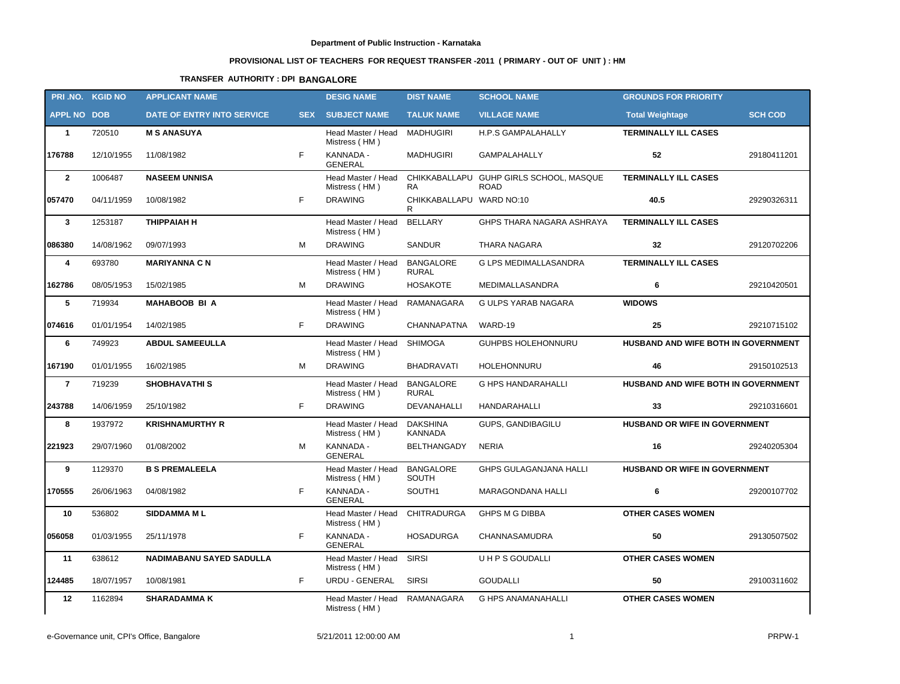# **PROVISIONAL LIST OF TEACHERS FOR REQUEST TRANSFER -2011 ( PRIMARY - OUT OF UNIT ) : HM**

## **TRANSFER AUTHORITY : DPI BANGALORE**

|                    | PRI.NO. KGID NO       | <b>APPLICANT NAME</b>           |            | <b>DESIG NAME</b>                               | <b>DIST NAME</b>                  | <b>SCHOOL NAME</b>                                     | <b>GROUNDS FOR PRIORITY</b>          |                |
|--------------------|-----------------------|---------------------------------|------------|-------------------------------------------------|-----------------------------------|--------------------------------------------------------|--------------------------------------|----------------|
| <b>APPL NO DOB</b> |                       | DATE OF ENTRY INTO SERVICE      | <b>SEX</b> | <b>SUBJECT NAME</b>                             | <b>TALUK NAME</b>                 | <b>VILLAGE NAME</b>                                    | <b>Total Weightage</b>               | <b>SCH COD</b> |
| $\mathbf{1}$       | 720510                | <b>M S ANASUYA</b>              |            | Head Master / Head<br>Mistress (HM)             | MADHUGIRI                         | H.P.S GAMPALAHALLY                                     | <b>TERMINALLY ILL CASES</b>          |                |
| 176788             | 12/10/1955            | 11/08/1982                      | F          | KANNADA -<br><b>GENERAL</b>                     | <b>MADHUGIRI</b>                  | <b>GAMPALAHALLY</b>                                    | 52                                   | 29180411201    |
| $\mathbf{2}$       | 1006487               | <b>NASEEM UNNISA</b>            |            | Head Master / Head<br>Mistress (HM)             | <b>RA</b>                         | CHIKKABALLAPU GUHP GIRLS SCHOOL, MASQUE<br><b>ROAD</b> | <b>TERMINALLY ILL CASES</b>          |                |
| 057470             | 04/11/1959            | 10/08/1982                      | F          | <b>DRAWING</b>                                  | CHIKKABALLAPU WARD NO:10<br>R     |                                                        | 40.5                                 | 29290326311    |
| $\mathbf{3}$       | 1253187               | <b>THIPPAIAH H</b>              |            | Head Master / Head<br>Mistress (HM)             | <b>BELLARY</b>                    | GHPS THARA NAGARA ASHRAYA                              | <b>TERMINALLY ILL CASES</b>          |                |
| 086380             | 14/08/1962            | 09/07/1993                      | м          | <b>DRAWING</b>                                  | <b>SANDUR</b>                     | <b>THARA NAGARA</b>                                    | 32                                   | 29120702206    |
| 4                  | 693780                | <b>MARIYANNA C N</b>            |            | Head Master / Head<br>Mistress (HM)             | <b>BANGALORE</b><br><b>RURAL</b>  | <b>G LPS MEDIMALLASANDRA</b>                           | <b>TERMINALLY ILL CASES</b>          |                |
| 162786             | 08/05/1953            | 15/02/1985                      | м          | <b>DRAWING</b>                                  | <b>HOSAKOTE</b>                   | MEDIMALLASANDRA                                        | 6                                    | 29210420501    |
| 5                  | 719934                | <b>MAHABOOB BI A</b>            |            | Head Master / Head<br>Mistress (HM)             | <b>RAMANAGARA</b>                 | <b>G ULPS YARAB NAGARA</b>                             | <b>WIDOWS</b>                        |                |
| 074616             | 01/01/1954            | 14/02/1985                      | F          | <b>DRAWING</b>                                  | CHANNAPATNA                       | WARD-19                                                | 25                                   | 29210715102    |
| 6                  | 749923                | <b>ABDUL SAMEEULLA</b>          |            | Head Master / Head<br>Mistress (HM)             | <b>SHIMOGA</b>                    | <b>GUHPBS HOLEHONNURU</b>                              | HUSBAND AND WIFE BOTH IN GOVERNMENT  |                |
| 167190             | 01/01/1955            | 16/02/1985                      | м          | <b>DRAWING</b>                                  | <b>BHADRAVATI</b>                 | <b>HOLEHONNURU</b>                                     | 46                                   | 29150102513    |
| $\overline{7}$     | 719239                | <b>SHOBHAVATHIS</b>             |            | Head Master / Head<br>Mistress (HM)             | <b>BANGALORE</b><br><b>RURAL</b>  | <b>G HPS HANDARAHALLI</b>                              | HUSBAND AND WIFE BOTH IN GOVERNMENT  |                |
| 243788             | 14/06/1959            | 25/10/1982                      | F          | <b>DRAWING</b>                                  | DEVANAHALLI                       | HANDARAHALLI                                           | 33                                   | 29210316601    |
| 8                  | 1937972               | <b>KRISHNAMURTHY R</b>          |            | Head Master / Head<br>Mistress (HM)             | <b>DAKSHINA</b><br><b>KANNADA</b> | GUPS, GANDIBAGILU                                      | HUSBAND OR WIFE IN GOVERNMENT        |                |
| 221923             | 29/07/1960            | 01/08/2002                      | м          | KANNADA -<br><b>GENERAL</b>                     | <b>BELTHANGADY</b>                | <b>NERIA</b>                                           | 16                                   | 29240205304    |
| 9                  | 1129370               | <b>B S PREMALEELA</b>           |            | Head Master / Head<br>Mistress (HM)             | <b>BANGALORE</b><br>SOUTH         | <b>GHPS GULAGANJANA HALLI</b>                          | <b>HUSBAND OR WIFE IN GOVERNMENT</b> |                |
| 170555             | 26/06/1963            | 04/08/1982                      | F          | KANNADA -<br><b>GENERAL</b>                     | SOUTH1                            | <b>MARAGONDANA HALLI</b>                               | 6                                    | 29200107702    |
| 10                 | 536802                | <b>SIDDAMMA ML</b>              |            | Head Master / Head CHITRADURGA<br>Mistress (HM) |                                   | <b>GHPS M G DIBBA</b>                                  | <b>OTHER CASES WOMEN</b>             |                |
| 056058             | 01/03/1955 25/11/1978 |                                 |            | KANNADA -<br><b>GENERAL</b>                     | HOSADURGA                         | CHANNASAMUDRA                                          | 50                                   | 29130507502    |
| 11                 | 638612                | <b>NADIMABANU SAYED SADULLA</b> |            | Head Master / Head<br>Mistress (HM)             | <b>SIRSI</b>                      | <b>UHPS GOUDALLI</b>                                   | <b>OTHER CASES WOMEN</b>             |                |
| 124485             | 18/07/1957            | 10/08/1981                      | F          | URDU - GENERAL                                  | <b>SIRSI</b>                      | <b>GOUDALLI</b>                                        | 50                                   | 29100311602    |
| 12                 | 1162894               | <b>SHARADAMMAK</b>              |            | Head Master / Head<br>Mistress (HM)             | <b>RAMANAGARA</b>                 | <b>G HPS ANAMANAHALLI</b>                              | <b>OTHER CASES WOMEN</b>             |                |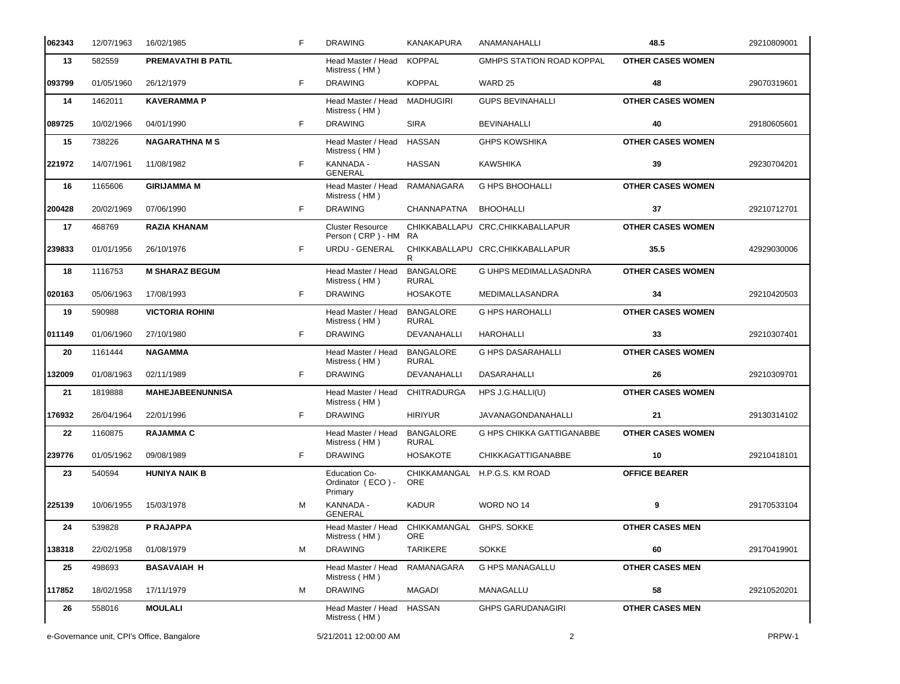| 062343 | 12/07/1963 | 16/02/1985                                 | F | <b>DRAWING</b>                                       | KANAKAPURA                       | ANAMANAHALLI                      | 48.5                     | 29210809001 |
|--------|------------|--------------------------------------------|---|------------------------------------------------------|----------------------------------|-----------------------------------|--------------------------|-------------|
| 13     | 582559     | <b>PREMAVATHI B PATIL</b>                  |   | Head Master / Head<br>Mistress (HM)                  | <b>KOPPAL</b>                    | <b>GMHPS STATION ROAD KOPPAL</b>  | <b>OTHER CASES WOMEN</b> |             |
| 093799 | 01/05/1960 | 26/12/1979                                 | F | <b>DRAWING</b>                                       | <b>KOPPAL</b>                    | WARD 25                           | 48                       | 29070319601 |
| 14     | 1462011    | <b>KAVERAMMA P</b>                         |   | Head Master / Head<br>Mistress (HM)                  | MADHUGIRI                        | <b>GUPS BEVINAHALLI</b>           | <b>OTHER CASES WOMEN</b> |             |
| 089725 | 10/02/1966 | 04/01/1990                                 | F | <b>DRAWING</b>                                       | <b>SIRA</b>                      | <b>BEVINAHALLI</b>                | 40                       | 29180605601 |
| 15     | 738226     | <b>NAGARATHNA M S</b>                      |   | Head Master / Head<br>Mistress (HM)                  | <b>HASSAN</b>                    | <b>GHPS KOWSHIKA</b>              | <b>OTHER CASES WOMEN</b> |             |
| 221972 | 14/07/1961 | 11/08/1982                                 | F | KANNADA -<br><b>GENERAL</b>                          | <b>HASSAN</b>                    | <b>KAWSHIKA</b>                   | 39                       | 29230704201 |
| 16     | 1165606    | <b>GIRIJAMMA M</b>                         |   | Head Master / Head<br>Mistress (HM)                  | RAMANAGARA                       | <b>G HPS BHOOHALLI</b>            | <b>OTHER CASES WOMEN</b> |             |
| 200428 | 20/02/1969 | 07/06/1990                                 | F | <b>DRAWING</b>                                       | CHANNAPATNA                      | <b>BHOOHALLI</b>                  | 37                       | 29210712701 |
| 17     | 468769     | <b>RAZIA KHANAM</b>                        |   | <b>Cluster Resource</b><br>Person (CRP) - HM RA      |                                  | CHIKKABALLAPU CRC, CHIKKABALLAPUR | <b>OTHER CASES WOMEN</b> |             |
| 239833 | 01/01/1956 | 26/10/1976                                 | F | URDU - GENERAL                                       | R                                | CHIKKABALLAPU CRC, CHIKKABALLAPUR | 35.5                     | 42929030006 |
| 18     | 1116753    | <b>M SHARAZ BEGUM</b>                      |   | Head Master / Head<br>Mistress (HM)                  | <b>BANGALORE</b><br><b>RURAL</b> | <b>G UHPS MEDIMALLASADNRA</b>     | <b>OTHER CASES WOMEN</b> |             |
| 020163 | 05/06/1963 | 17/08/1993                                 | F | <b>DRAWING</b>                                       | <b>HOSAKOTE</b>                  | MEDIMALLASANDRA                   | 34                       | 29210420503 |
| 19     | 590988     | <b>VICTORIA ROHINI</b>                     |   | Head Master / Head<br>Mistress (HM)                  | <b>BANGALORE</b><br><b>RURAL</b> | <b>G HPS HAROHALLI</b>            | <b>OTHER CASES WOMEN</b> |             |
| 011149 | 01/06/1960 | 27/10/1980                                 | F | <b>DRAWING</b>                                       | DEVANAHALLI                      | <b>HAROHALLI</b>                  | 33                       | 29210307401 |
| 20     | 1161444    | <b>NAGAMMA</b>                             |   | Head Master / Head<br>Mistress (HM)                  | <b>BANGALORE</b><br><b>RURAL</b> | <b>G HPS DASARAHALLI</b>          | <b>OTHER CASES WOMEN</b> |             |
| 132009 | 01/08/1963 | 02/11/1989                                 | F | <b>DRAWING</b>                                       | DEVANAHALLI                      | <b>DASARAHALLI</b>                | 26                       | 29210309701 |
| 21     | 1819888    | <b>MAHEJABEENUNNISA</b>                    |   | Head Master / Head<br>Mistress (HM)                  | CHITRADURGA                      | HPS J.G.HALLI(U)                  | <b>OTHER CASES WOMEN</b> |             |
| 176932 | 26/04/1964 | 22/01/1996                                 | F | <b>DRAWING</b>                                       | <b>HIRIYUR</b>                   | <b>JAVANAGONDANAHALLI</b>         | 21                       | 29130314102 |
| 22     | 1160875    | <b>RAJAMMA C</b>                           |   | Head Master / Head<br>Mistress (HM)                  | <b>BANGALORE</b><br><b>RURAL</b> | G HPS CHIKKA GATTIGANABBE         | <b>OTHER CASES WOMEN</b> |             |
| 239776 | 01/05/1962 | 09/08/1989                                 | F | <b>DRAWING</b>                                       | <b>HOSAKOTE</b>                  | <b>CHIKKAGATTIGANABBE</b>         | 10                       | 29210418101 |
| 23     | 540594     | <b>HUNIYA NAIK B</b>                       |   | <b>Education Co-</b><br>Ordinator (ECO) -<br>Primary | ORE                              | CHIKKAMANGAL H.P.G.S. KM ROAD     | <b>OFFICE BEARER</b>     |             |
| 225139 | 10/06/1955 | 15/03/1978                                 | М | KANNADA -<br><b>GENERAL</b>                          | <b>KADUR</b>                     | WORD NO 14                        | 9                        | 29170533104 |
| 24     | 539828     | P RAJAPPA                                  |   | Head Master / Head<br>Mistress (HM)                  | CHIKKAMANGAL<br>ORE              | GHPS. SOKKE                       | <b>OTHER CASES MEN</b>   |             |
| 138318 | 22/02/1958 | 01/08/1979                                 | М | <b>DRAWING</b>                                       | TARIKERE                         | <b>SOKKE</b>                      | 60                       | 29170419901 |
| 25     | 498693     | <b>BASAVAIAH H</b>                         |   | Head Master / Head<br>Mistress (HM)                  | RAMANAGARA                       | G HPS MANAGALLU                   | <b>OTHER CASES MEN</b>   |             |
| 117852 | 18/02/1958 | 17/11/1979                                 | М | <b>DRAWING</b>                                       | <b>MAGADI</b>                    | MANAGALLU                         | 58                       | 29210520201 |
| 26     | 558016     | <b>MOULALI</b>                             |   | Head Master / Head<br>Mistress (HM)                  | <b>HASSAN</b>                    | <b>GHPS GARUDANAGIRI</b>          | <b>OTHER CASES MEN</b>   |             |
|        |            | e-Governance unit, CPI's Office, Bangalore |   | 5/21/2011 12:00:00 AM                                |                                  | $\overline{c}$                    |                          | PRPW-1      |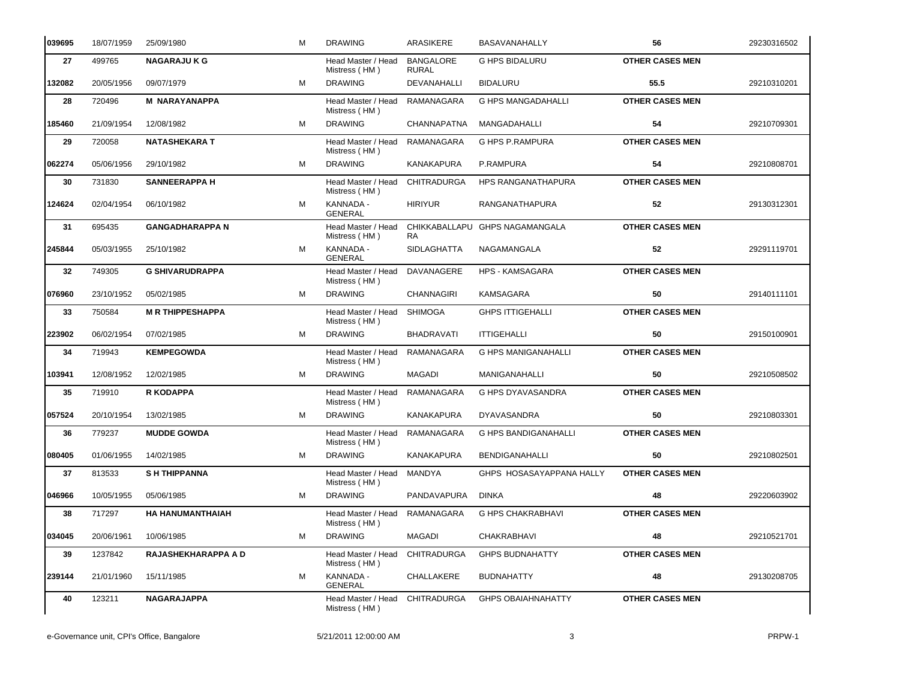| 039695 | 18/07/1959 | 25/09/1980              | м | <b>DRAWING</b>                      | <b>ARASIKERE</b>                 | <b>BASAVANAHALLY</b>           | 56                     | 29230316502 |
|--------|------------|-------------------------|---|-------------------------------------|----------------------------------|--------------------------------|------------------------|-------------|
| 27     | 499765     | <b>NAGARAJU K G</b>     |   | Head Master / Head<br>Mistress (HM) | <b>BANGALORE</b><br><b>RURAL</b> | <b>G HPS BIDALURU</b>          | <b>OTHER CASES MEN</b> |             |
| 132082 | 20/05/1956 | 09/07/1979              | м | <b>DRAWING</b>                      | DEVANAHALLI                      | <b>BIDALURU</b>                | 55.5                   | 29210310201 |
| 28     | 720496     | <b>M NARAYANAPPA</b>    |   | Head Master / Head<br>Mistress (HM) | RAMANAGARA                       | <b>G HPS MANGADAHALLI</b>      | <b>OTHER CASES MEN</b> |             |
| 185460 | 21/09/1954 | 12/08/1982              | м | <b>DRAWING</b>                      | <b>CHANNAPATNA</b>               | MANGADAHALLI                   | 54                     | 29210709301 |
| 29     | 720058     | <b>NATASHEKARA T</b>    |   | Head Master / Head<br>Mistress (HM) | <b>RAMANAGARA</b>                | <b>G HPS P.RAMPURA</b>         | <b>OTHER CASES MEN</b> |             |
| 062274 | 05/06/1956 | 29/10/1982              | м | <b>DRAWING</b>                      | <b>KANAKAPURA</b>                | P.RAMPURA                      | 54                     | 29210808701 |
| 30     | 731830     | <b>SANNEERAPPA H</b>    |   | Head Master / Head<br>Mistress (HM) | <b>CHITRADURGA</b>               | <b>HPS RANGANATHAPURA</b>      | <b>OTHER CASES MEN</b> |             |
| 124624 | 02/04/1954 | 06/10/1982              | м | KANNADA -<br><b>GENERAL</b>         | <b>HIRIYUR</b>                   | RANGANATHAPURA                 | 52                     | 29130312301 |
| 31     | 695435     | <b>GANGADHARAPPA N</b>  |   | Head Master / Head<br>Mistress (HM) | <b>RA</b>                        | CHIKKABALLAPU GHPS NAGAMANGALA | <b>OTHER CASES MEN</b> |             |
| 245844 | 05/03/1955 | 25/10/1982              | M | KANNADA -<br><b>GENERAL</b>         | <b>SIDLAGHATTA</b>               | NAGAMANGALA                    | 52                     | 29291119701 |
| 32     | 749305     | <b>G SHIVARUDRAPPA</b>  |   | Head Master / Head<br>Mistress (HM) | DAVANAGERE                       | <b>HPS - KAMSAGARA</b>         | <b>OTHER CASES MEN</b> |             |
| 076960 | 23/10/1952 | 05/02/1985              | м | <b>DRAWING</b>                      | <b>CHANNAGIRI</b>                | KAMSAGARA                      | 50                     | 29140111101 |
| 33     | 750584     | <b>MR THIPPESHAPPA</b>  |   | Head Master / Head<br>Mistress (HM) | <b>SHIMOGA</b>                   | <b>GHPS ITTIGEHALLI</b>        | <b>OTHER CASES MEN</b> |             |
| 223902 | 06/02/1954 | 07/02/1985              | м | <b>DRAWING</b>                      | <b>BHADRAVATI</b>                | <b>ITTIGEHALLI</b>             | 50                     | 29150100901 |
| 34     | 719943     | <b>KEMPEGOWDA</b>       |   | Head Master / Head<br>Mistress (HM) | RAMANAGARA                       | <b>G HPS MANIGANAHALLI</b>     | <b>OTHER CASES MEN</b> |             |
| 103941 | 12/08/1952 | 12/02/1985              | м | <b>DRAWING</b>                      | <b>MAGADI</b>                    | <b>MANIGANAHALLI</b>           | 50                     | 29210508502 |
| 35     | 719910     | <b>R KODAPPA</b>        |   | Head Master / Head<br>Mistress (HM) | RAMANAGARA                       | <b>G HPS DYAVASANDRA</b>       | <b>OTHER CASES MEN</b> |             |
| 057524 | 20/10/1954 | 13/02/1985              | м | <b>DRAWING</b>                      | <b>KANAKAPURA</b>                | <b>DYAVASANDRA</b>             | 50                     | 29210803301 |
| 36     | 779237     | <b>MUDDE GOWDA</b>      |   | Head Master / Head<br>Mistress (HM) | RAMANAGARA                       | <b>G HPS BANDIGANAHALLI</b>    | <b>OTHER CASES MEN</b> |             |
| 080405 | 01/06/1955 | 14/02/1985              | м | <b>DRAWING</b>                      | <b>KANAKAPURA</b>                | <b>BENDIGANAHALLI</b>          | 50                     | 29210802501 |
| 37     | 813533     | <b>SH THIPPANNA</b>     |   | Head Master / Head<br>Mistress (HM) | MANDYA                           | GHPS HOSASAYAPPANA HALLY       | <b>OTHER CASES MEN</b> |             |
| 046966 | 10/05/1955 | 05/06/1985              | м | <b>DRAWING</b>                      | PANDAVAPURA                      | DINKA                          | 48                     | 29220603902 |
| 38     | 717297     | <b>HA HANUMANTHAIAH</b> |   | Head Master / Head<br>Mistress (HM) | RAMANAGARA                       | <b>G HPS CHAKRABHAVI</b>       | <b>OTHER CASES MEN</b> |             |
| 034045 | 20/06/1961 | 10/06/1985              | м | <b>DRAWING</b>                      | MAGADI                           | <b>CHAKRABHAVI</b>             | 48                     | 29210521701 |
| 39     | 1237842    | RAJASHEKHARAPPA A D     |   | Head Master / Head<br>Mistress (HM) | <b>CHITRADURGA</b>               | <b>GHPS BUDNAHATTY</b>         | <b>OTHER CASES MEN</b> |             |
| 239144 | 21/01/1960 | 15/11/1985              | м | KANNADA -<br><b>GENERAL</b>         | CHALLAKERE                       | <b>BUDNAHATTY</b>              | 48                     | 29130208705 |
| 40     | 123211     | NAGARAJAPPA             |   | Head Master / Head<br>Mistress (HM) | CHITRADURGA                      | <b>GHPS OBAIAHNAHATTY</b>      | <b>OTHER CASES MEN</b> |             |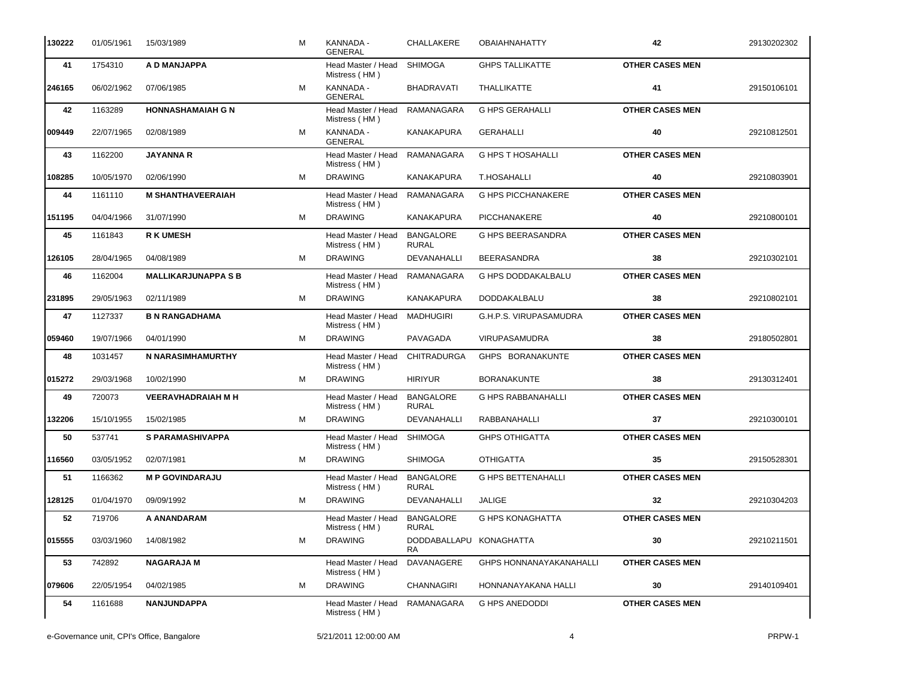| 130222 | 01/05/1961 | 15/03/1989                 | М | KANNADA -<br><b>GENERAL</b>                   | CHALLAKERE                       | <b>OBAIAHNAHATTY</b>      | 42                     | 29130202302 |
|--------|------------|----------------------------|---|-----------------------------------------------|----------------------------------|---------------------------|------------------------|-------------|
| 41     | 1754310    | A D MANJAPPA               |   | Head Master / Head<br>Mistress (HM)           | <b>SHIMOGA</b>                   | <b>GHPS TALLIKATTE</b>    | <b>OTHER CASES MEN</b> |             |
| 246165 | 06/02/1962 | 07/06/1985                 | м | KANNADA -<br><b>GENERAL</b>                   | <b>BHADRAVATI</b>                | THALLIKATTE               | 41                     | 29150106101 |
| 42     | 1163289    | <b>HONNASHAMAIAH G N</b>   |   | Head Master / Head<br>Mistress (HM)           | <b>RAMANAGARA</b>                | <b>G HPS GERAHALLI</b>    | <b>OTHER CASES MEN</b> |             |
| 009449 | 22/07/1965 | 02/08/1989                 | м | KANNADA -<br><b>GENERAL</b>                   | <b>KANAKAPURA</b>                | <b>GERAHALLI</b>          | 40                     | 29210812501 |
| 43     | 1162200    | <b>JAYANNA R</b>           |   | Head Master / Head<br>Mistress (HM)           | RAMANAGARA                       | <b>G HPS T HOSAHALLI</b>  | <b>OTHER CASES MEN</b> |             |
| 108285 | 10/05/1970 | 02/06/1990                 | м | <b>DRAWING</b>                                | KANAKAPURA                       | T.HOSAHALLI               | 40                     | 29210803901 |
| 44     | 1161110    | <b>M SHANTHAVEERAIAH</b>   |   | Head Master / Head<br>Mistress (HM)           | RAMANAGARA                       | <b>G HPS PICCHANAKERE</b> | <b>OTHER CASES MEN</b> |             |
| 151195 | 04/04/1966 | 31/07/1990                 | м | <b>DRAWING</b>                                | KANAKAPURA                       | PICCHANAKERE              | 40                     | 29210800101 |
| 45     | 1161843    | <b>R K UMESH</b>           |   | Head Master / Head<br>Mistress (HM)           | <b>BANGALORE</b><br><b>RURAL</b> | <b>G HPS BEERASANDRA</b>  | <b>OTHER CASES MEN</b> |             |
| 126105 | 28/04/1965 | 04/08/1989                 | М | <b>DRAWING</b>                                | DEVANAHALLI                      | <b>BEERASANDRA</b>        | 38                     | 29210302101 |
| 46     | 1162004    | <b>MALLIKARJUNAPPA S B</b> |   | Head Master / Head<br>Mistress (HM)           | RAMANAGARA                       | <b>G HPS DODDAKALBALU</b> | <b>OTHER CASES MEN</b> |             |
| 231895 | 29/05/1963 | 02/11/1989                 | м | <b>DRAWING</b>                                | <b>KANAKAPURA</b>                | DODDAKALBALU              | 38                     | 29210802101 |
| 47     | 1127337    | <b>B N RANGADHAMA</b>      |   | Head Master / Head<br>Mistress (HM)           | <b>MADHUGIRI</b>                 | G.H.P.S. VIRUPASAMUDRA    | <b>OTHER CASES MEN</b> |             |
| 059460 | 19/07/1966 | 04/01/1990                 | M | <b>DRAWING</b>                                | PAVAGADA                         | VIRUPASAMUDRA             | 38                     | 29180502801 |
| 48     | 1031457    | N NARASIMHAMURTHY          |   | Head Master / Head<br>Mistress (HM)           | <b>CHITRADURGA</b>               | GHPS BORANAKUNTE          | <b>OTHER CASES MEN</b> |             |
| 015272 | 29/03/1968 | 10/02/1990                 | м | <b>DRAWING</b>                                | <b>HIRIYUR</b>                   | <b>BORANAKUNTE</b>        | 38                     | 29130312401 |
| 49     | 720073     | <b>VEERAVHADRAIAH M H</b>  |   | Head Master / Head<br>Mistress (HM)           | <b>BANGALORE</b><br><b>RURAL</b> | <b>G HPS RABBANAHALLI</b> | <b>OTHER CASES MEN</b> |             |
| 132206 | 15/10/1955 | 15/02/1985                 | M | <b>DRAWING</b>                                | DEVANAHALLI                      | RABBANAHALLI              | 37                     | 29210300101 |
| 50     | 537741     | <b>S PARAMASHIVAPPA</b>    |   | Head Master / Head<br>Mistress (HM)           | <b>SHIMOGA</b>                   | <b>GHPS OTHIGATTA</b>     | <b>OTHER CASES MEN</b> |             |
| 116560 | 03/05/1952 | 02/07/1981                 | М | <b>DRAWING</b>                                | <b>SHIMOGA</b>                   | <b>OTHIGATTA</b>          | 35                     | 29150528301 |
| 51     | 1166362    | <b>M P GOVINDARAJU</b>     |   | Head Master / Head BANGALORE<br>Mistress (HM) | <b>RURAL</b>                     | <b>G HPS BETTENAHALLI</b> | <b>OTHER CASES MEN</b> |             |
| 128125 | 01/04/1970 | 09/09/1992                 | М | <b>DRAWING</b>                                | DEVANAHALLI                      | JALIGE                    | 32                     | 29210304203 |
| 52     | 719706     | A ANANDARAM                |   | Head Master / Head<br>Mistress (HM)           | <b>BANGALORE</b><br><b>RURAL</b> | G HPS KONAGHATTA          | <b>OTHER CASES MEN</b> |             |
| 015555 | 03/03/1960 | 14/08/1982                 | М | <b>DRAWING</b>                                | DODDABALLAPU KONAGHATTA<br>RA    |                           | $\bf{30}$              | 29210211501 |
| 53     | 742892     | <b>NAGARAJA M</b>          |   | Head Master / Head<br>Mistress (HM)           | DAVANAGERE                       | GHPS HONNANAYAKANAHALLI   | <b>OTHER CASES MEN</b> |             |
| 079606 | 22/05/1954 | 04/02/1985                 | М | <b>DRAWING</b>                                | <b>CHANNAGIRI</b>                | HONNANAYAKANA HALLI       | 30                     | 29140109401 |
| 54     | 1161688    | NANJUNDAPPA                |   | Head Master / Head<br>Mistress (HM)           | RAMANAGARA                       | <b>G HPS ANEDODDI</b>     | <b>OTHER CASES MEN</b> |             |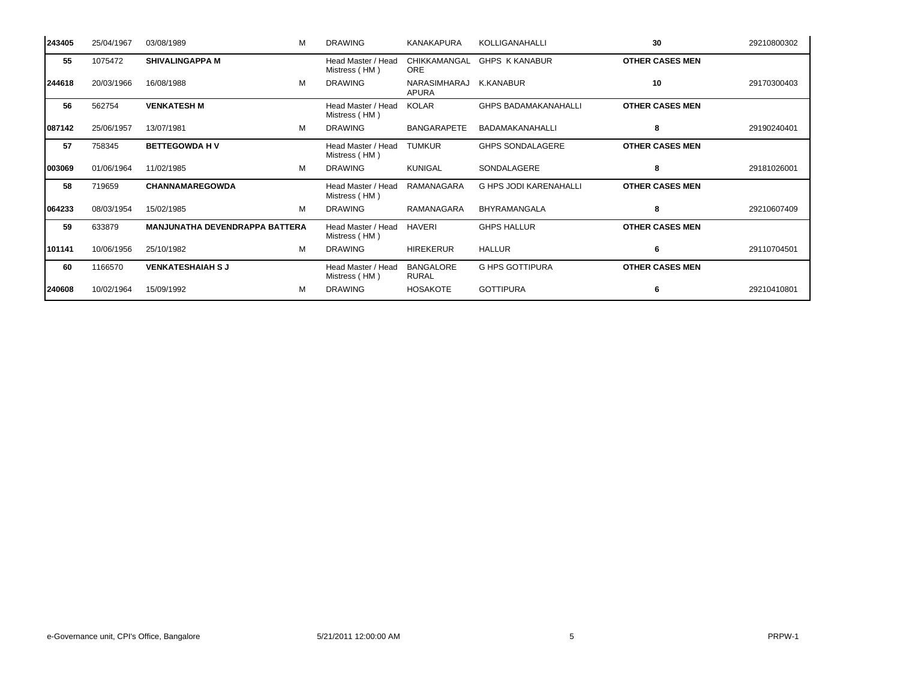| 243405 | 25/04/1967 | 03/08/1989                            | М | <b>DRAWING</b>                      | KANAKAPURA                       | <b>KOLLIGANAHALLI</b>         | 30                     | 29210800302 |
|--------|------------|---------------------------------------|---|-------------------------------------|----------------------------------|-------------------------------|------------------------|-------------|
| 55     | 1075472    | <b>SHIVALINGAPPA M</b>                |   | Head Master / Head<br>Mistress (HM) | CHIKKAMANGAL<br><b>ORE</b>       | <b>GHPS K KANABUR</b>         | <b>OTHER CASES MEN</b> |             |
| 244618 | 20/03/1966 | 16/08/1988                            | M | <b>DRAWING</b>                      | NARASIMHARAJ<br>APURA            | K.KANABUR                     | 10                     | 29170300403 |
| 56     | 562754     | <b>VENKATESH M</b>                    |   | Head Master / Head<br>Mistress (HM) | <b>KOLAR</b>                     | <b>GHPS BADAMAKANAHALLI</b>   | <b>OTHER CASES MEN</b> |             |
| 087142 | 25/06/1957 | 13/07/1981                            | м | <b>DRAWING</b>                      | <b>BANGARAPETE</b>               | BADAMAKANAHALLI               | 8                      | 29190240401 |
| 57     | 758345     | <b>BETTEGOWDA HV</b>                  |   | Head Master / Head<br>Mistress (HM) | <b>TUMKUR</b>                    | <b>GHPS SONDALAGERE</b>       | <b>OTHER CASES MEN</b> |             |
| 003069 | 01/06/1964 | 11/02/1985                            | м | <b>DRAWING</b>                      | <b>KUNIGAL</b>                   | SONDALAGERE                   | 8                      | 29181026001 |
| 58     | 719659     | <b>CHANNAMAREGOWDA</b>                |   | Head Master / Head<br>Mistress (HM) | RAMANAGARA                       | <b>G HPS JODI KARENAHALLI</b> | <b>OTHER CASES MEN</b> |             |
| 064233 | 08/03/1954 | 15/02/1985                            | M | <b>DRAWING</b>                      | RAMANAGARA                       | BHYRAMANGALA                  | 8                      | 29210607409 |
| 59     | 633879     | <b>MANJUNATHA DEVENDRAPPA BATTERA</b> |   | Head Master / Head<br>Mistress (HM) | HAVERI                           | <b>GHPS HALLUR</b>            | <b>OTHER CASES MEN</b> |             |
| 101141 | 10/06/1956 | 25/10/1982                            | M | <b>DRAWING</b>                      | <b>HIREKERUR</b>                 | <b>HALLUR</b>                 | 6                      | 29110704501 |
| 60     | 1166570    | <b>VENKATESHAIAH S J</b>              |   | Head Master / Head<br>Mistress (HM) | <b>BANGALORE</b><br><b>RURAL</b> | <b>G HPS GOTTIPURA</b>        | <b>OTHER CASES MEN</b> |             |
| 240608 | 10/02/1964 | 15/09/1992                            | м | <b>DRAWING</b>                      | <b>HOSAKOTE</b>                  | <b>GOTTIPURA</b>              |                        | 29210410801 |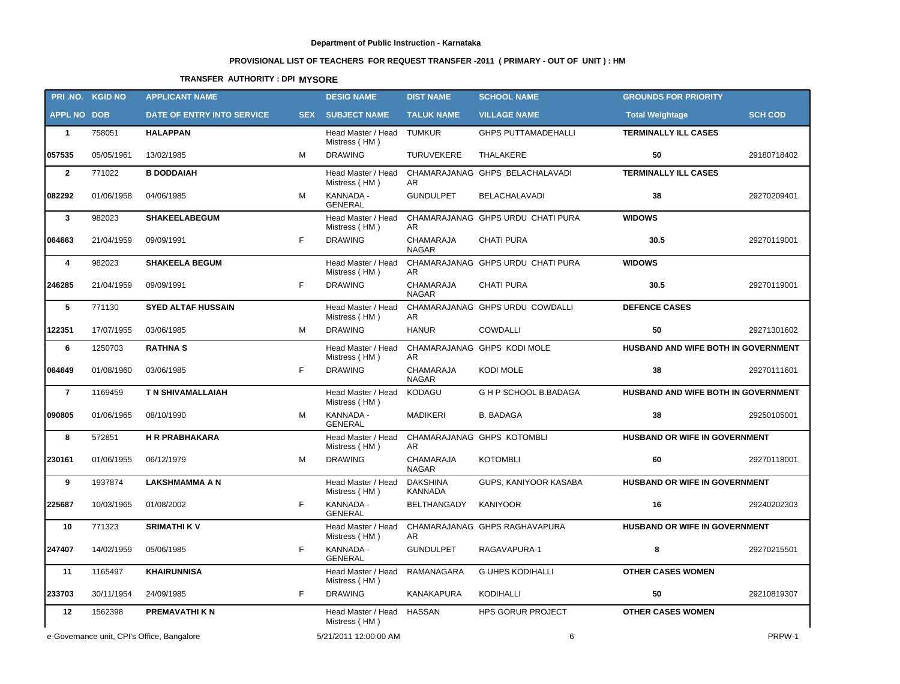# **PROVISIONAL LIST OF TEACHERS FOR REQUEST TRANSFER -2011 ( PRIMARY - OUT OF UNIT ) : HM**

## **TRANSFER AUTHORITY : DPI MYSORE**

|                    | PRI.NO. KGID NO                            | <b>APPLICANT NAME</b>      |            | <b>DESIG NAME</b>                          | <b>DIST NAME</b>                  | <b>SCHOOL NAME</b>                               | <b>GROUNDS FOR PRIORITY</b>          |                |
|--------------------|--------------------------------------------|----------------------------|------------|--------------------------------------------|-----------------------------------|--------------------------------------------------|--------------------------------------|----------------|
| <b>APPL NO DOB</b> |                                            | DATE OF ENTRY INTO SERVICE | <b>SEX</b> | <b>SUBJECT NAME</b>                        | <b>TALUK NAME</b>                 | <b>VILLAGE NAME</b>                              | <b>Total Weightage</b>               | <b>SCH COD</b> |
| $\mathbf{1}$       | 758051                                     | <b>HALAPPAN</b>            |            | Head Master / Head TUMKUR<br>Mistress (HM) |                                   | <b>GHPS PUTTAMADEHALLI</b>                       | <b>TERMINALLY ILL CASES</b>          |                |
| 057535             | 05/05/1961                                 | 13/02/1985                 | м          | <b>DRAWING</b>                             | <b>TURUVEKERE</b>                 | THALAKERE                                        | 50                                   | 29180718402    |
| $\mathbf{2}$       | 771022                                     | <b>B DODDAIAH</b>          |            | Head Master / Head<br>Mistress (HM)        | AR.                               | CHAMARAJANAG GHPS BELACHALAVADI                  | <b>TERMINALLY ILL CASES</b>          |                |
| 082292             | 01/06/1958                                 | 04/06/1985                 | м          | KANNADA -<br><b>GENERAL</b>                | <b>GUNDULPET</b>                  | <b>BELACHALAVADI</b>                             | 38                                   | 29270209401    |
| $\mathbf{3}$       | 982023                                     | <b>SHAKEELABEGUM</b>       |            | Head Master / Head<br>Mistress (HM)        | AR.                               | CHAMARAJANAG GHPS URDU CHATI PURA                | <b>WIDOWS</b>                        |                |
| 064663             | 21/04/1959                                 | 09/09/1991                 | F.         | <b>DRAWING</b>                             | CHAMARAJA<br><b>NAGAR</b>         | <b>CHATI PURA</b>                                | 30.5                                 | 29270119001    |
| 4                  | 982023                                     | <b>SHAKEELA BEGUM</b>      |            | Head Master / Head<br>Mistress (HM)        | AR.                               | CHAMARAJANAG GHPS URDU CHATI PURA                | <b>WIDOWS</b>                        |                |
| 246285             | 21/04/1959                                 | 09/09/1991                 | F.         | <b>DRAWING</b>                             | CHAMARAJA<br><b>NAGAR</b>         | <b>CHATI PURA</b>                                | 30.5                                 | 29270119001    |
| 5                  | 771130                                     | <b>SYED ALTAF HUSSAIN</b>  |            | Head Master / Head<br>Mistress (HM)        | AR                                | CHAMARAJANAG GHPS URDU COWDALLI                  | <b>DEFENCE CASES</b>                 |                |
| 122351             | 17/07/1955                                 | 03/06/1985                 | м          | <b>DRAWING</b>                             | <b>HANUR</b>                      | <b>COWDALLI</b>                                  | 50                                   | 29271301602    |
| 6                  | 1250703                                    | <b>RATHNAS</b>             |            | Head Master / Head<br>Mistress (HM)        | AR.                               | CHAMARAJANAG GHPS KODI MOLE                      | HUSBAND AND WIFE BOTH IN GOVERNMENT  |                |
| 064649             | 01/08/1960                                 | 03/06/1985                 | F.         | <b>DRAWING</b>                             | CHAMARAJA<br><b>NAGAR</b>         | KODI MOLE                                        | 38                                   | 29270111601    |
| $\overline{7}$     | 1169459                                    | <b>T N SHIVAMALLAIAH</b>   |            | Head Master / Head<br>Mistress (HM)        | KODAGU                            | G H P SCHOOL B.BADAGA                            | HUSBAND AND WIFE BOTH IN GOVERNMENT  |                |
| 090805             | 01/06/1965                                 | 08/10/1990                 | м          | KANNADA -<br><b>GENERAL</b>                | <b>MADIKERI</b>                   | <b>B. BADAGA</b>                                 | 38                                   | 29250105001    |
| 8                  | 572851                                     | <b>H R PRABHAKARA</b>      |            | Head Master / Head<br>Mistress (HM)        | AR.                               | CHAMARAJANAG GHPS KOTOMBLI                       | HUSBAND OR WIFE IN GOVERNMENT        |                |
| 230161             | 01/06/1955                                 | 06/12/1979                 | м          | <b>DRAWING</b>                             | CHAMARAJA<br><b>NAGAR</b>         | <b>KOTOMBLI</b>                                  | 60                                   | 29270118001    |
| 9                  | 1937874                                    | <b>LAKSHMAMMA A N</b>      |            | Head Master / Head<br>Mistress (HM)        | <b>DAKSHINA</b><br><b>KANNADA</b> | GUPS, KANIYOOR KASABA                            | <b>HUSBAND OR WIFE IN GOVERNMENT</b> |                |
| 225687             | 10/03/1965                                 | 01/08/2002                 | F          | KANNADA -<br><b>GENERAL</b>                | BELTHANGADY                       | <b>KANIYOOR</b>                                  | 16                                   | 29240202303    |
| 10                 | 771323                                     | <b>SRIMATHI KV</b>         |            | Mistress (HM)                              | AR                                | Head Master / Head CHAMARAJANAG GHPS RAGHAVAPURA | <b>HUSBAND OR WIFE IN GOVERNMENT</b> |                |
| 247407             | 14/02/1959                                 | 05/06/1985                 | F          | KANNADA -<br><b>GENERAL</b>                | <b>GUNDULPET</b>                  | RAGAVAPURA-1                                     | 8                                    | 29270215501    |
| 11                 | 1165497                                    | <b>KHAIRUNNISA</b>         |            | Head Master / Head<br>Mistress (HM)        | RAMANAGARA                        | <b>G UHPS KODIHALLI</b>                          | <b>OTHER CASES WOMEN</b>             |                |
| 233703             | 30/11/1954                                 | 24/09/1985                 | F          | <b>DRAWING</b>                             | <b>KANAKAPURA</b>                 | KODIHALLI                                        | 50                                   | 29210819307    |
| 12                 | 1562398                                    | <b>PREMAVATHI K N</b>      |            | Head Master / Head<br>Mistress (HM)        | HASSAN                            | <b>HPS GORUR PROJECT</b>                         | <b>OTHER CASES WOMEN</b>             |                |
|                    | e-Governance unit, CPI's Office, Bangalore |                            |            | 5/21/2011 12:00:00 AM                      |                                   | 6                                                |                                      | PRPW-1         |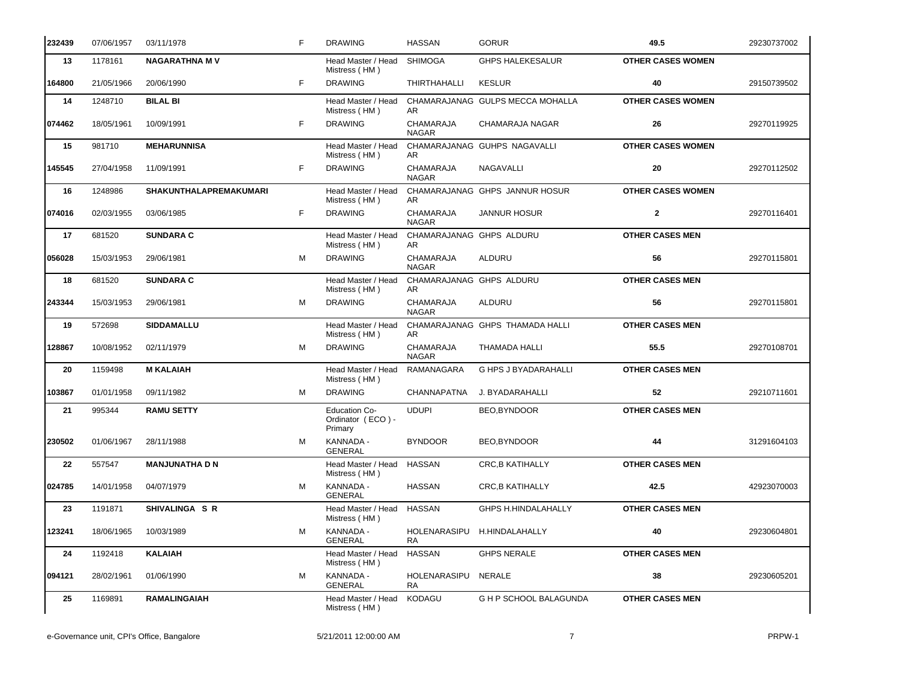| 232439  | 07/06/1957 | 03/11/1978             | F  | <b>DRAWING</b>                                       | <b>HASSAN</b>                    | <b>GORUR</b>                     | 49.5                     | 29230737002 |
|---------|------------|------------------------|----|------------------------------------------------------|----------------------------------|----------------------------------|--------------------------|-------------|
| 13      | 1178161    | <b>NAGARATHNA MV</b>   |    | Head Master / Head<br>Mistress (HM)                  | SHIMOGA                          | <b>GHPS HALEKESALUR</b>          | <b>OTHER CASES WOMEN</b> |             |
| 164800  | 21/05/1966 | 20/06/1990             | F  | <b>DRAWING</b>                                       | <b>THIRTHAHALLI</b>              | <b>KESLUR</b>                    | 40                       | 29150739502 |
| 14      | 1248710    | <b>BILAL BI</b>        |    | Head Master / Head<br>Mistress (HM)                  | AR.                              | CHAMARAJANAG GULPS MECCA MOHALLA | <b>OTHER CASES WOMEN</b> |             |
| 074462  | 18/05/1961 | 10/09/1991             | F. | <b>DRAWING</b>                                       | CHAMARAJA<br><b>NAGAR</b>        | CHAMARAJA NAGAR                  | 26                       | 29270119925 |
| 15      | 981710     | <b>MEHARUNNISA</b>     |    | Head Master / Head<br>Mistress (HM)                  | AR.                              | CHAMARAJANAG GUHPS NAGAVALLI     | <b>OTHER CASES WOMEN</b> |             |
| 145545  | 27/04/1958 | 11/09/1991             | F  | <b>DRAWING</b>                                       | <b>CHAMARAJA</b><br><b>NAGAR</b> | NAGAVALLI                        | 20                       | 29270112502 |
| 16      | 1248986    | SHAKUNTHALAPREMAKUMARI |    | Head Master / Head<br>Mistress (HM)                  | AR.                              | CHAMARAJANAG GHPS JANNUR HOSUR   | <b>OTHER CASES WOMEN</b> |             |
| 074016  | 02/03/1955 | 03/06/1985             | F  | <b>DRAWING</b>                                       | CHAMARAJA<br><b>NAGAR</b>        | <b>JANNUR HOSUR</b>              | $\mathbf{2}$             | 29270116401 |
| 17      | 681520     | <b>SUNDARA C</b>       |    | Head Master / Head<br>Mistress (HM)                  | CHAMARAJANAG GHPS ALDURU<br>AR.  |                                  | <b>OTHER CASES MEN</b>   |             |
| 056028  | 15/03/1953 | 29/06/1981             | M  | <b>DRAWING</b>                                       | <b>CHAMARAJA</b><br><b>NAGAR</b> | ALDURU                           | 56                       | 29270115801 |
| 18      | 681520     | <b>SUNDARA C</b>       |    | Head Master / Head<br>Mistress (HM)                  | CHAMARAJANAG GHPS ALDURU<br>AR.  |                                  | <b>OTHER CASES MEN</b>   |             |
| 243344  | 15/03/1953 | 29/06/1981             | M  | <b>DRAWING</b>                                       | CHAMARAJA<br><b>NAGAR</b>        | ALDURU                           | 56                       | 29270115801 |
| 19      | 572698     | <b>SIDDAMALLU</b>      |    | Head Master / Head<br>Mistress (HM)                  | AR                               | CHAMARAJANAG GHPS THAMADA HALLI  | <b>OTHER CASES MEN</b>   |             |
| 128867  | 10/08/1952 | 02/11/1979             | M  | <b>DRAWING</b>                                       | <b>CHAMARAJA</b><br><b>NAGAR</b> | THAMADA HALLI                    | 55.5                     | 29270108701 |
| 20      | 1159498    | <b>M KALAIAH</b>       |    | Head Master / Head<br>Mistress (HM)                  | RAMANAGARA                       | G HPS J BYADARAHALLI             | <b>OTHER CASES MEN</b>   |             |
| 103867  | 01/01/1958 | 09/11/1982             | м  | <b>DRAWING</b>                                       | CHANNAPATNA                      | J. BYADARAHALLI                  | 52                       | 29210711601 |
| 21      | 995344     | <b>RAMU SETTY</b>      |    | <b>Education Co-</b><br>Ordinator (ECO) -<br>Primary | <b>UDUPI</b>                     | BEO, BYNDOOR                     | <b>OTHER CASES MEN</b>   |             |
| 230502  | 01/06/1967 | 28/11/1988             | M  | KANNADA -<br><b>GENERAL</b>                          | <b>BYNDOOR</b>                   | BEO, BYNDOOR                     | 44                       | 31291604103 |
| $22 \,$ | 557547     | <b>MANJUNATHA D N</b>  |    | Head Master / Head<br>Mistress (HM)                  | <b>HASSAN</b>                    | <b>CRC, B KATIHALLY</b>          | <b>OTHER CASES MEN</b>   |             |
| 024785  | 14/01/1958 | 04/07/1979             | M  | KANNADA -<br><b>GENERAL</b>                          | <b>HASSAN</b>                    | CRC, B KATIHALLY                 | 42.5                     | 42923070003 |
| 23      | 1191871    | SHIVALINGA S R         |    | Head Master / Head<br>Mistress (HM)                  | HASSAN                           | GHPS H.HINDALAHALLY              | <b>OTHER CASES MEN</b>   |             |
| 123241  | 18/06/1965 | 10/03/1989             | м  | KANNADA -<br><b>GENERAL</b>                          | HOLENARASIPU<br>RA.              | H.HINDALAHALLY                   | 40                       | 29230604801 |
| 24      | 1192418    | <b>KALAIAH</b>         |    | Head Master / Head<br>Mistress (HM)                  | <b>HASSAN</b>                    | <b>GHPS NERALE</b>               | <b>OTHER CASES MEN</b>   |             |
| 094121  | 28/02/1961 | 01/06/1990             | M  | KANNADA -<br><b>GENERAL</b>                          | HOLENARASIPU<br>RA.              | NERALE                           | 38                       | 29230605201 |
| 25      | 1169891    | <b>RAMALINGAIAH</b>    |    | Head Master / Head<br>Mistress (HM)                  | KODAGU                           | G H P SCHOOL BALAGUNDA           | <b>OTHER CASES MEN</b>   |             |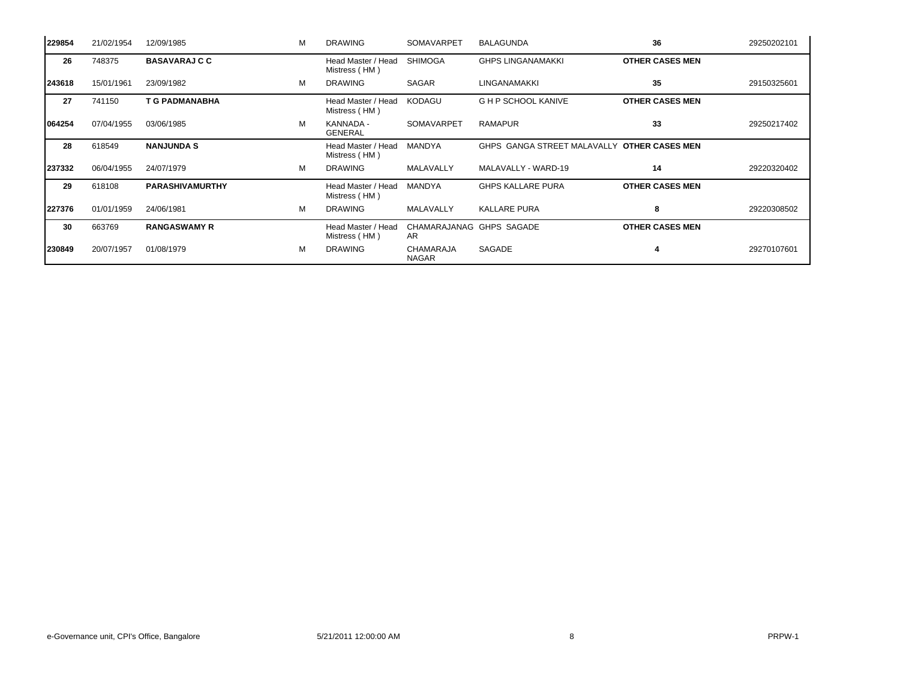| 229854 | 21/02/1954 | 12/09/1985             | м | <b>DRAWING</b>                      | <b>SOMAVARPET</b>               | <b>BALAGUNDA</b>            | 36                     | 29250202101 |
|--------|------------|------------------------|---|-------------------------------------|---------------------------------|-----------------------------|------------------------|-------------|
| 26     | 748375     | <b>BASAVARAJ C C</b>   |   | Head Master / Head<br>Mistress (HM) | <b>SHIMOGA</b>                  | <b>GHPS LINGANAMAKKI</b>    | <b>OTHER CASES MEN</b> |             |
| 243618 | 15/01/1961 | 23/09/1982             | м | <b>DRAWING</b>                      | <b>SAGAR</b>                    | LINGANAMAKKI                | 35                     | 29150325601 |
| 27     | 741150     | <b>T G PADMANABHA</b>  |   | Head Master / Head<br>Mistress (HM) | <b>KODAGU</b>                   | <b>G H P SCHOOL KANIVE</b>  | <b>OTHER CASES MEN</b> |             |
| 064254 | 07/04/1955 | 03/06/1985             | M | KANNADA -<br>GENERAL                | SOMAVARPET                      | <b>RAMAPUR</b>              | 33                     | 29250217402 |
| 28     | 618549     | <b>NANJUNDA S</b>      |   | Head Master / Head<br>Mistress (HM) | <b>MANDYA</b>                   | GHPS GANGA STREET MALAVALLY | <b>OTHER CASES MEN</b> |             |
| 237332 | 06/04/1955 | 24/07/1979             | M | <b>DRAWING</b>                      | MALAVALLY                       | MALAVALLY - WARD-19         | 14                     | 29220320402 |
| 29     | 618108     | <b>PARASHIVAMURTHY</b> |   | Head Master / Head<br>Mistress (HM) | MANDYA                          | <b>GHPS KALLARE PURA</b>    | <b>OTHER CASES MEN</b> |             |
| 227376 | 01/01/1959 | 24/06/1981             | M | <b>DRAWING</b>                      | MALAVALLY                       | <b>KALLARE PURA</b>         | 8                      | 29220308502 |
| 30     | 663769     | <b>RANGASWAMY R</b>    |   | Head Master / Head<br>Mistress (HM) | CHAMARAJANAG GHPS SAGADE<br>AR. |                             | <b>OTHER CASES MEN</b> |             |
| 230849 | 20/07/1957 | 01/08/1979             | M | <b>DRAWING</b>                      | CHAMARAJA<br><b>NAGAR</b>       | SAGADE                      | -4                     | 29270107601 |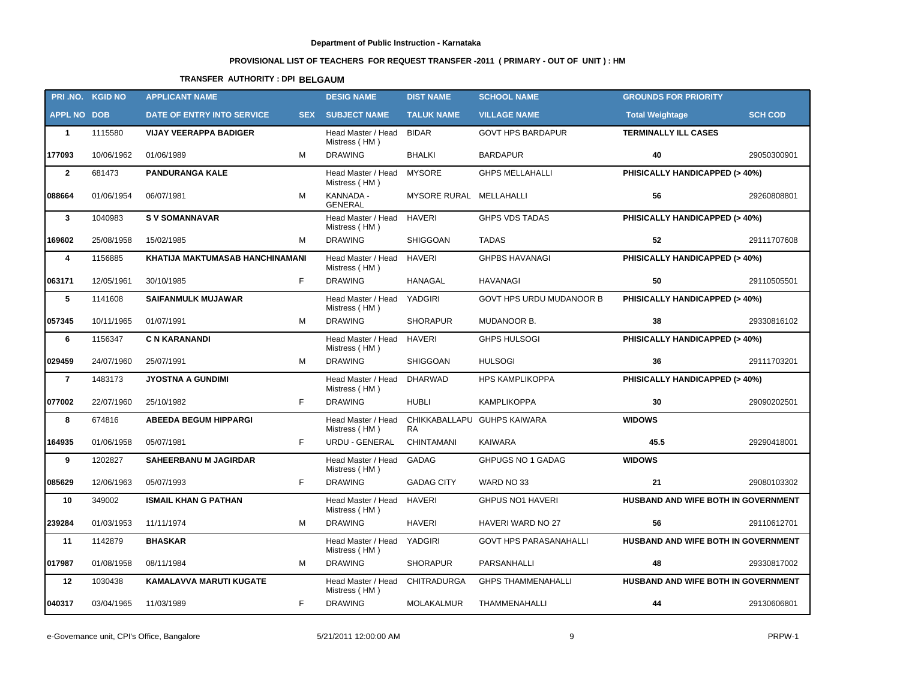# **PROVISIONAL LIST OF TEACHERS FOR REQUEST TRANSFER -2011 ( PRIMARY - OUT OF UNIT ) : HM**

# **TRANSFER AUTHORITY : DPI BELGAUM**

|                    | PRI.NO. KGID NO | <b>APPLICANT NAME</b>           |            | <b>DESIG NAME</b>                   | <b>DIST NAME</b>    | <b>SCHOOL NAME</b>              | <b>GROUNDS FOR PRIORITY</b>         |                |
|--------------------|-----------------|---------------------------------|------------|-------------------------------------|---------------------|---------------------------------|-------------------------------------|----------------|
| <b>APPL NO DOB</b> |                 | DATE OF ENTRY INTO SERVICE      | <b>SEX</b> | <b>SUBJECT NAME</b>                 | <b>TALUK NAME</b>   | <b>VILLAGE NAME</b>             | <b>Total Weightage</b>              | <b>SCH COD</b> |
| $\mathbf{1}$       | 1115580         | <b>VIJAY VEERAPPA BADIGER</b>   |            | Head Master / Head<br>Mistress (HM) | <b>BIDAR</b>        | <b>GOVT HPS BARDAPUR</b>        | <b>TERMINALLY ILL CASES</b>         |                |
| 177093             | 10/06/1962      | 01/06/1989                      | M          | <b>DRAWING</b>                      | <b>BHALKI</b>       | <b>BARDAPUR</b>                 | 40                                  | 29050300901    |
| $\overline{2}$     | 681473          | <b>PANDURANGA KALE</b>          |            | Head Master / Head<br>Mistress (HM) | <b>MYSORE</b>       | <b>GHPS MELLAHALLI</b>          | PHISICALLY HANDICAPPED (> 40%)      |                |
| 088664             | 01/06/1954      | 06/07/1981                      | М          | KANNADA -<br><b>GENERAL</b>         | <b>MYSORE RURAL</b> | MELLAHALLI                      | 56                                  | 29260808801    |
| $\mathbf{3}$       | 1040983         | <b>SV SOMANNAVAR</b>            |            | Head Master / Head<br>Mistress (HM) | <b>HAVERI</b>       | <b>GHPS VDS TADAS</b>           | PHISICALLY HANDICAPPED (> 40%)      |                |
| 169602             | 25/08/1958      | 15/02/1985                      | М          | <b>DRAWING</b>                      | SHIGGOAN            | <b>TADAS</b>                    | 52                                  | 29111707608    |
| 4                  | 1156885         | KHATIJA MAKTUMASAB HANCHINAMANI |            | Head Master / Head<br>Mistress (HM) | <b>HAVERI</b>       | <b>GHPBS HAVANAGI</b>           | PHISICALLY HANDICAPPED (> 40%)      |                |
| 063171             | 12/05/1961      | 30/10/1985                      | F.         | <b>DRAWING</b>                      | <b>HANAGAL</b>      | <b>HAVANAGI</b>                 | 50                                  | 29110505501    |
| 5                  | 1141608         | <b>SAIFANMULK MUJAWAR</b>       |            | Head Master / Head<br>Mistress (HM) | YADGIRI             | <b>GOVT HPS URDU MUDANOOR B</b> | PHISICALLY HANDICAPPED (> 40%)      |                |
| 057345             | 10/11/1965      | 01/07/1991                      | M          | <b>DRAWING</b>                      | <b>SHORAPUR</b>     | MUDANOOR B.                     | 38                                  | 29330816102    |
| 6                  | 1156347         | <b>C N KARANANDI</b>            |            | Head Master / Head<br>Mistress (HM) | <b>HAVERI</b>       | <b>GHPS HULSOGI</b>             | PHISICALLY HANDICAPPED (> 40%)      |                |
| 029459             | 24/07/1960      | 25/07/1991                      | м          | <b>DRAWING</b>                      | SHIGGOAN            | <b>HULSOGI</b>                  | 36                                  | 29111703201    |
| $\overline{7}$     | 1483173         | <b>JYOSTNA A GUNDIMI</b>        |            | Head Master / Head<br>Mistress (HM) | <b>DHARWAD</b>      | <b>HPS KAMPLIKOPPA</b>          | PHISICALLY HANDICAPPED (> 40%)      |                |
| 077002             | 22/07/1960      | 25/10/1982                      | F.         | <b>DRAWING</b>                      | <b>HUBLI</b>        | <b>KAMPLIKOPPA</b>              | 30                                  | 29090202501    |
| 8                  | 674816          | <b>ABEEDA BEGUM HIPPARGI</b>    |            | Head Master / Head<br>Mistress (HM) | <b>RA</b>           | CHIKKABALLAPU GUHPS KAIWARA     | <b>WIDOWS</b>                       |                |
| 164935             | 01/06/1958      | 05/07/1981                      | F.         | URDU - GENERAL                      | <b>CHINTAMANI</b>   | <b>KAIWARA</b>                  | 45.5                                | 29290418001    |
| 9                  | 1202827         | <b>SAHEERBANU M JAGIRDAR</b>    |            | Head Master / Head<br>Mistress (HM) | GADAG               | GHPUGS NO 1 GADAG               | <b>WIDOWS</b>                       |                |
| 085629             | 12/06/1963      | 05/07/1993                      | F.         | <b>DRAWING</b>                      | <b>GADAG CITY</b>   | WARD NO 33                      | 21                                  | 29080103302    |
| 10                 | 349002          | <b>ISMAIL KHAN G PATHAN</b>     |            | Head Master / Head<br>Mistress (HM) | <b>HAVERI</b>       | GHPUS NO1 HAVERI                | HUSBAND AND WIFE BOTH IN GOVERNMENT |                |
| 239284             | 01/03/1953      | 11/11/1974                      | м          | <b>DRAWING</b>                      | <b>HAVERI</b>       | HAVERI WARD NO 27               | 56                                  | 29110612701    |
| 11                 | 1142879         | <b>BHASKAR</b>                  |            | Head Master / Head<br>Mistress (HM) | YADGIRI             | <b>GOVT HPS PARASANAHALLI</b>   | HUSBAND AND WIFE BOTH IN GOVERNMENT |                |
| 017987             | 01/08/1958      | 08/11/1984                      | М          | <b>DRAWING</b>                      | <b>SHORAPUR</b>     | PARSANHALLI                     | 48                                  | 29330817002    |
| 12                 | 1030438         | <b>KAMALAVVA MARUTI KUGATE</b>  |            | Head Master / Head<br>Mistress (HM) | <b>CHITRADURGA</b>  | <b>GHPS THAMMENAHALLI</b>       | HUSBAND AND WIFE BOTH IN GOVERNMENT |                |
| 040317             | 03/04/1965      | 11/03/1989                      | F          | <b>DRAWING</b>                      | MOLAKALMUR          | THAMMENAHALLI                   | 44                                  | 29130606801    |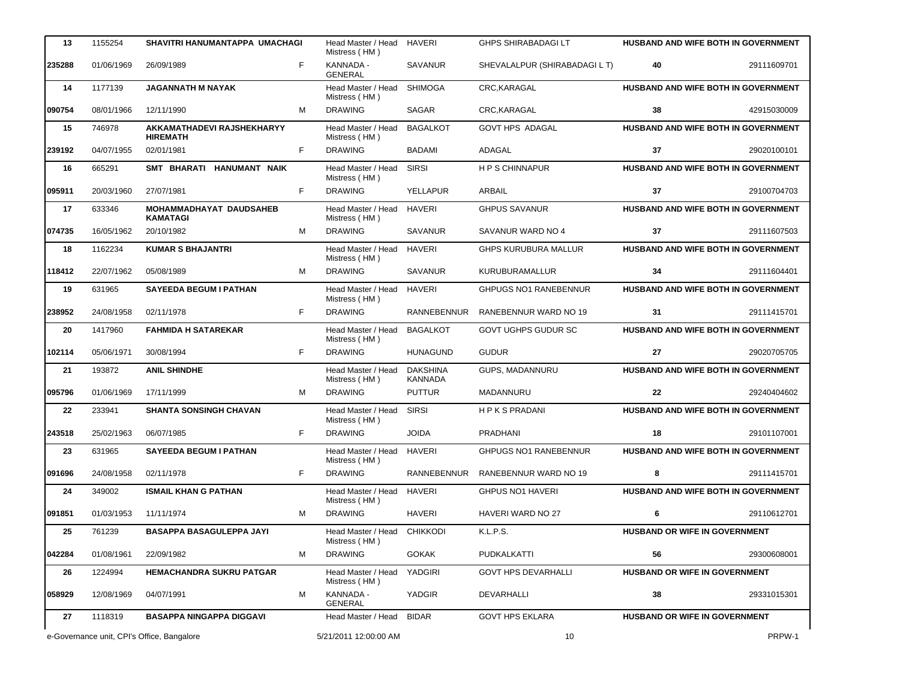| 13     | 1155254    | SHAVITRI HANUMANTAPPA UMACHAGI                |   | Head Master / Head<br>Mistress (HM)        | <b>HAVERI</b>                     | <b>GHPS SHIRABADAGI LT</b>    |                                     | <b>HUSBAND AND WIFE BOTH IN GOVERNMENT</b> |
|--------|------------|-----------------------------------------------|---|--------------------------------------------|-----------------------------------|-------------------------------|-------------------------------------|--------------------------------------------|
| 235288 | 01/06/1969 | 26/09/1989                                    | F | KANNADA -<br><b>GENERAL</b>                | <b>SAVANUR</b>                    | SHEVALALPUR (SHIRABADAGI L T) | 40                                  | 29111609701                                |
| 14     | 1177139    | <b>JAGANNATH M NAYAK</b>                      |   | Head Master / Head<br>Mistress (HM)        | <b>SHIMOGA</b>                    | CRC, KARAGAL                  |                                     | HUSBAND AND WIFE BOTH IN GOVERNMENT        |
| 090754 | 08/01/1966 | 12/11/1990                                    | м | <b>DRAWING</b>                             | SAGAR                             | CRC, KARAGAL                  | 38                                  | 42915030009                                |
| 15     | 746978     | AKKAMATHADEVI RAJSHEKHARYY<br><b>HIREMATH</b> |   | Head Master / Head<br>Mistress (HM)        | <b>BAGALKOT</b>                   | <b>GOVT HPS ADAGAL</b>        |                                     | HUSBAND AND WIFE BOTH IN GOVERNMENT        |
| 239192 | 04/07/1955 | 02/01/1981                                    | F | <b>DRAWING</b>                             | BADAMI                            | ADAGAL                        | 37                                  | 29020100101                                |
| 16     | 665291     | SMT BHARATI HANUMANT NAIK                     |   | Head Master / Head<br>Mistress (HM)        | <b>SIRSI</b>                      | <b>HPS CHINNAPUR</b>          |                                     | HUSBAND AND WIFE BOTH IN GOVERNMENT        |
| 095911 | 20/03/1960 | 27/07/1981                                    | F | <b>DRAWING</b>                             | YELLAPUR                          | ARBAIL                        | 37                                  | 29100704703                                |
| 17     | 633346     | MOHAMMADHAYAT DAUDSAHEB<br><b>KAMATAGI</b>    |   | Head Master / Head<br>Mistress (HM)        | <b>HAVERI</b>                     | <b>GHPUS SAVANUR</b>          |                                     | HUSBAND AND WIFE BOTH IN GOVERNMENT        |
| 074735 | 16/05/1962 | 20/10/1982                                    | M | <b>DRAWING</b>                             | <b>SAVANUR</b>                    | SAVANUR WARD NO 4             | 37                                  | 29111607503                                |
| 18     | 1162234    | <b>KUMAR S BHAJANTRI</b>                      |   | Head Master / Head<br>Mistress (HM)        | <b>HAVERI</b>                     | <b>GHPS KURUBURA MALLUR</b>   |                                     | HUSBAND AND WIFE BOTH IN GOVERNMENT        |
| 118412 | 22/07/1962 | 05/08/1989                                    | м | <b>DRAWING</b>                             | <b>SAVANUR</b>                    | KURUBURAMALLUR                | 34                                  | 29111604401                                |
| 19     | 631965     | <b>SAYEEDA BEGUM I PATHAN</b>                 |   | Head Master / Head<br>Mistress (HM)        | <b>HAVERI</b>                     | <b>GHPUGS NO1 RANEBENNUR</b>  |                                     | HUSBAND AND WIFE BOTH IN GOVERNMENT        |
| 238952 | 24/08/1958 | 02/11/1978                                    | F | <b>DRAWING</b>                             | <b>RANNEBENNUR</b>                | RANEBENNUR WARD NO 19         | 31                                  | 29111415701                                |
| 20     | 1417960    | <b>FAHMIDA H SATAREKAR</b>                    |   | Head Master / Head<br>Mistress (HM)        | <b>BAGALKOT</b>                   | GOVT UGHPS GUDUR SC           | HUSBAND AND WIFE BOTH IN GOVERNMENT |                                            |
| 102114 | 05/06/1971 | 30/08/1994                                    | F | <b>DRAWING</b>                             | <b>HUNAGUND</b>                   | <b>GUDUR</b>                  | 27                                  | 29020705705                                |
| 21     | 193872     | <b>ANIL SHINDHE</b>                           |   | Head Master / Head<br>Mistress (HM)        | <b>DAKSHINA</b><br><b>KANNADA</b> | GUPS, MADANNURU               |                                     | HUSBAND AND WIFE BOTH IN GOVERNMENT        |
| 095796 | 01/06/1969 | 17/11/1999                                    | M | <b>DRAWING</b>                             | <b>PUTTUR</b>                     | MADANNURU                     | 22                                  | 29240404602                                |
| 22     | 233941     | <b>SHANTA SONSINGH CHAVAN</b>                 |   | Head Master / Head<br>Mistress (HM)        | <b>SIRSI</b>                      | <b>HPKSPRADANI</b>            |                                     | HUSBAND AND WIFE BOTH IN GOVERNMENT        |
| 243518 | 25/02/1963 | 06/07/1985                                    | F | <b>DRAWING</b>                             | <b>JOIDA</b>                      | <b>PRADHANI</b>               | 18                                  | 29101107001                                |
| 23     | 631965     | <b>SAYEEDA BEGUM I PATHAN</b>                 |   | Head Master / Head<br>Mistress (HM)        | <b>HAVERI</b>                     | <b>GHPUGS NO1 RANEBENNUR</b>  |                                     | HUSBAND AND WIFE BOTH IN GOVERNMENT        |
| 091696 | 24/08/1958 | 02/11/1978                                    | F | <b>DRAWING</b>                             | RANNEBENNUR                       | RANEBENNUR WARD NO 19         | 8                                   | 29111415701                                |
| 24     | 349002     | <b>ISMAIL KHAN G PATHAN</b>                   |   | Head Master / Head HAVERI<br>Mistress (HM) |                                   | GHPUS NO1 HAVERI              |                                     | HUSBAND AND WIFE BOTH IN GOVERNMENT        |
| 091851 | 01/03/1953 | 11/11/1974                                    | м | <b>DRAWING</b>                             | HAVERI                            | HAVERI WARD NO 27             | 6                                   | 29110612701                                |
| 25     | 761239     | <b>BASAPPA BASAGULEPPA JAYI</b>               |   | Head Master / Head<br>Mistress (HM)        | <b>CHIKKODI</b>                   | K.L.P.S.                      | HUSBAND OR WIFE IN GOVERNMENT       |                                            |
| 042284 | 01/08/1961 | 22/09/1982                                    | м | <b>DRAWING</b>                             | <b>GOKAK</b>                      | PUDKALKATTI                   | 56                                  | 29300608001                                |
| 26     | 1224994    | <b>HEMACHANDRA SUKRU PATGAR</b>               |   | Head Master / Head<br>Mistress (HM)        | YADGIRI                           | <b>GOVT HPS DEVARHALLI</b>    | HUSBAND OR WIFE IN GOVERNMENT       |                                            |
| 058929 | 12/08/1969 | 04/07/1991                                    | м | KANNADA -<br><b>GENERAL</b>                | YADGIR                            | DEVARHALLI                    | 38                                  | 29331015301                                |
| 27     | 1118319    | <b>BASAPPA NINGAPPA DIGGAVI</b>               |   | Head Master / Head                         | <b>BIDAR</b>                      | <b>GOVT HPS EKLARA</b>        | HUSBAND OR WIFE IN GOVERNMENT       |                                            |
|        |            | e-Governance unit, CPI's Office, Bangalore    |   | 5/21/2011 12:00:00 AM                      |                                   | 10                            |                                     | PRPW-1                                     |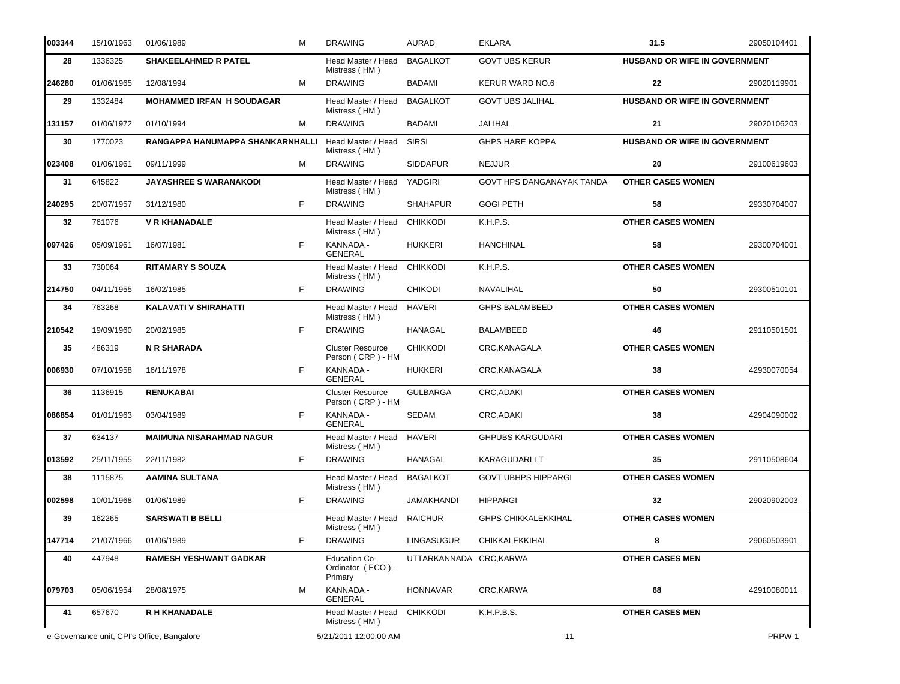| 003344 | 15/10/1963                                 | 01/06/1989<br>м                  | <b>DRAWING</b>                                       | <b>AURAD</b>            | <b>EKLARA</b>              | 31.5                                 | 29050104401 |
|--------|--------------------------------------------|----------------------------------|------------------------------------------------------|-------------------------|----------------------------|--------------------------------------|-------------|
| 28     | 1336325                                    | <b>SHAKEELAHMED R PATEL</b>      | Head Master / Head<br>Mistress (HM)                  | <b>BAGALKOT</b>         | <b>GOVT UBS KERUR</b>      | <b>HUSBAND OR WIFE IN GOVERNMENT</b> |             |
| 246280 | 01/06/1965                                 | 12/08/1994<br>м                  | <b>DRAWING</b>                                       | BADAMI                  | <b>KERUR WARD NO.6</b>     | 22                                   | 29020119901 |
| 29     | 1332484                                    | <b>MOHAMMED IRFAN H SOUDAGAR</b> | Head Master / Head<br>Mistress (HM)                  | <b>BAGALKOT</b>         | <b>GOVT UBS JALIHAL</b>    | <b>HUSBAND OR WIFE IN GOVERNMENT</b> |             |
| 131157 | 01/06/1972                                 | 01/10/1994<br>м                  | <b>DRAWING</b>                                       | BADAMI                  | <b>JALIHAL</b>             | 21                                   | 29020106203 |
| 30     | 1770023                                    | RANGAPPA HANUMAPPA SHANKARNHALLI | Head Master / Head<br>Mistress (HM)                  | <b>SIRSI</b>            | <b>GHPS HARE KOPPA</b>     | <b>HUSBAND OR WIFE IN GOVERNMENT</b> |             |
| 023408 | 01/06/1961                                 | 09/11/1999<br>м                  | <b>DRAWING</b>                                       | <b>SIDDAPUR</b>         | <b>NEJJUR</b>              | 20                                   | 29100619603 |
| 31     | 645822                                     | <b>JAYASHREE S WARANAKODI</b>    | Head Master / Head<br>Mistress (HM)                  | <b>YADGIRI</b>          | GOVT HPS DANGANAYAK TANDA  | <b>OTHER CASES WOMEN</b>             |             |
| 240295 | 20/07/1957                                 | F<br>31/12/1980                  | <b>DRAWING</b>                                       | <b>SHAHAPUR</b>         | <b>GOGI PETH</b>           | 58                                   | 29330704007 |
| 32     | 761076                                     | <b>V R KHANADALE</b>             | Head Master / Head<br>Mistress (HM)                  | <b>CHIKKODI</b>         | K.H.P.S.                   | <b>OTHER CASES WOMEN</b>             |             |
| 097426 | 05/09/1961                                 | F<br>16/07/1981                  | KANNADA -<br><b>GENERAL</b>                          | <b>HUKKERI</b>          | <b>HANCHINAL</b>           | 58                                   | 29300704001 |
| 33     | 730064                                     | <b>RITAMARY S SOUZA</b>          | Head Master / Head<br>Mistress (HM)                  | <b>CHIKKODI</b>         | K.H.P.S.                   | <b>OTHER CASES WOMEN</b>             |             |
| 214750 | 04/11/1955                                 | F.<br>16/02/1985                 | <b>DRAWING</b>                                       | <b>CHIKODI</b>          | NAVALIHAL                  | 50                                   | 29300510101 |
| 34     | 763268                                     | KALAVATI V SHIRAHATTI            | Head Master / Head<br>Mistress (HM)                  | <b>HAVERI</b>           | <b>GHPS BALAMBEED</b>      | <b>OTHER CASES WOMEN</b>             |             |
| 210542 | 19/09/1960                                 | F<br>20/02/1985                  | <b>DRAWING</b>                                       | HANAGAL                 | <b>BALAMBEED</b>           | 46                                   | 29110501501 |
| 35     | 486319                                     | <b>N R SHARADA</b>               | <b>Cluster Resource</b><br>Person (CRP) - HM         | <b>CHIKKODI</b>         | CRC, KANAGALA              | <b>OTHER CASES WOMEN</b>             |             |
| 006930 | 07/10/1958                                 | F<br>16/11/1978                  | KANNADA -<br><b>GENERAL</b>                          | <b>HUKKERI</b>          | CRC, KANAGALA              | 38                                   | 42930070054 |
| 36     | 1136915                                    | <b>RENUKABAI</b>                 | <b>Cluster Resource</b><br>Person (CRP) - HM         | <b>GULBARGA</b>         | <b>CRC, ADAKI</b>          | <b>OTHER CASES WOMEN</b>             |             |
| 086854 | 01/01/1963                                 | F<br>03/04/1989                  | KANNADA -<br><b>GENERAL</b>                          | <b>SEDAM</b>            | CRC, ADAKI                 | 38                                   | 42904090002 |
| 37     | 634137                                     | <b>MAIMUNA NISARAHMAD NAGUR</b>  | Head Master / Head<br>Mistress (HM)                  | <b>HAVERI</b>           | <b>GHPUBS KARGUDARI</b>    | <b>OTHER CASES WOMEN</b>             |             |
| 013592 | 25/11/1955                                 | F<br>22/11/1982                  | <b>DRAWING</b>                                       | HANAGAL                 | <b>KARAGUDARI LT</b>       | 35                                   | 29110508604 |
| 38     | 1115875                                    | AAMINA SULTANA                   | Head Master / Head<br>Mistress (HM)                  | <b>BAGALKOT</b>         | <b>GOVT UBHPS HIPPARGI</b> | <b>OTHER CASES WOMEN</b>             |             |
| 002598 | 10/01/1968                                 | F<br>01/06/1989                  | <b>DRAWING</b>                                       | JAMAKHANDI              | <b>HIPPARGI</b>            | 32                                   | 29020902003 |
| 39     | 162265                                     | <b>SARSWATI B BELLI</b>          | Head Master / Head<br>Mistress (HM)                  | <b>RAICHUR</b>          | <b>GHPS CHIKKALEKKIHAL</b> | <b>OTHER CASES WOMEN</b>             |             |
| 147714 | 21/07/1966                                 | 01/06/1989<br>F                  | <b>DRAWING</b>                                       | <b>LINGASUGUR</b>       | CHIKKALEKKIHAL             | 8                                    | 29060503901 |
| 40     | 447948                                     | <b>RAMESH YESHWANT GADKAR</b>    | <b>Education Co-</b><br>Ordinator (ECO) -<br>Primary | UTTARKANNADA CRC, KARWA |                            | <b>OTHER CASES MEN</b>               |             |
| 079703 | 05/06/1954                                 | 28/08/1975<br>М                  | KANNADA -<br><b>GENERAL</b>                          | <b>HONNAVAR</b>         | CRC, KARWA                 | 68                                   | 42910080011 |
| 41     | 657670                                     | R H KHANADALE                    | Head Master / Head CHIKKODI<br>Mistress (HM)         |                         | K.H.P.B.S.                 | <b>OTHER CASES MEN</b>               |             |
|        | e-Governance unit, CPI's Office, Bangalore |                                  | 5/21/2011 12:00:00 AM                                |                         | 11                         |                                      | PRPW-1      |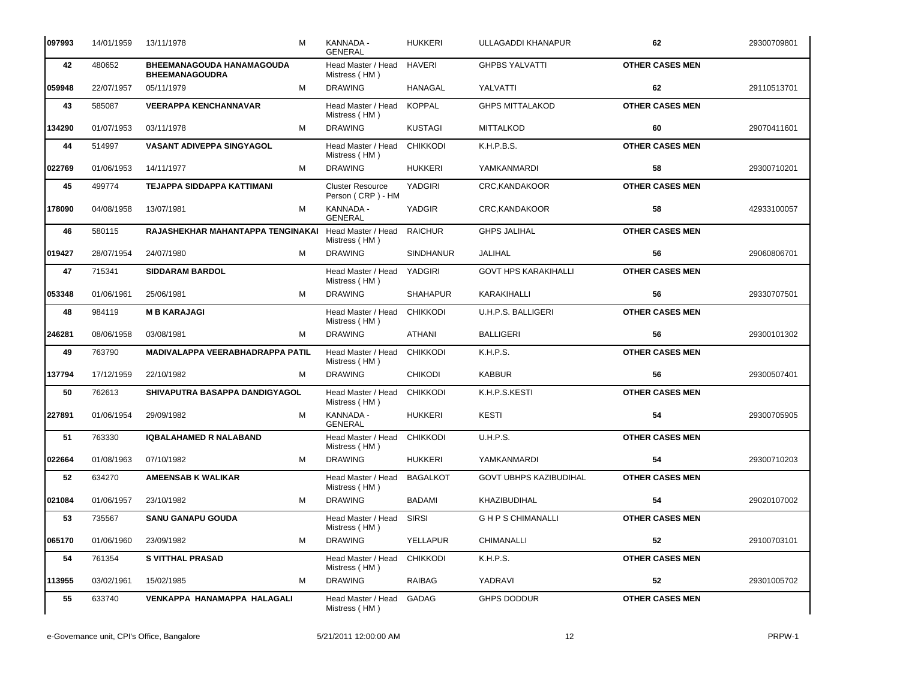| 097993 | 14/01/1959 | 13/11/1978<br>м                                           | KANNADA -<br><b>GENERAL</b>                  | <b>HUKKERI</b>   | ULLAGADDI KHANAPUR            | 62                     | 29300709801 |
|--------|------------|-----------------------------------------------------------|----------------------------------------------|------------------|-------------------------------|------------------------|-------------|
| 42     | 480652     | <b>BHEEMANAGOUDA HANAMAGOUDA</b><br><b>BHEEMANAGOUDRA</b> | Head Master / Head<br>Mistress (HM)          | <b>HAVERI</b>    | <b>GHPBS YALVATTI</b>         | <b>OTHER CASES MEN</b> |             |
| 059948 | 22/07/1957 | 05/11/1979<br>м                                           | <b>DRAWING</b>                               | <b>HANAGAL</b>   | YALVATTI                      | 62                     | 29110513701 |
| 43     | 585087     | <b>VEERAPPA KENCHANNAVAR</b>                              | Head Master / Head<br>Mistress (HM)          | <b>KOPPAL</b>    | <b>GHPS MITTALAKOD</b>        | <b>OTHER CASES MEN</b> |             |
| 134290 | 01/07/1953 | 03/11/1978<br>м                                           | <b>DRAWING</b>                               | <b>KUSTAGI</b>   | <b>MITTALKOD</b>              | 60                     | 29070411601 |
| 44     | 514997     | <b>VASANT ADIVEPPA SINGYAGOL</b>                          | Head Master / Head<br>Mistress (HM)          | <b>CHIKKODI</b>  | K.H.P.B.S.                    | <b>OTHER CASES MEN</b> |             |
| 022769 | 01/06/1953 | 14/11/1977<br>м                                           | <b>DRAWING</b>                               | <b>HUKKERI</b>   | YAMKANMARDI                   | 58                     | 29300710201 |
| 45     | 499774     | TEJAPPA SIDDAPPA KATTIMANI                                | <b>Cluster Resource</b><br>Person (CRP) - HM | <b>YADGIRI</b>   | CRC, KANDAKOOR                | <b>OTHER CASES MEN</b> |             |
| 178090 | 04/08/1958 | 13/07/1981<br>м                                           | KANNADA -<br><b>GENERAL</b>                  | YADGIR           | CRC, KANDAKOOR                | 58                     | 42933100057 |
| 46     | 580115     | RAJASHEKHAR MAHANTAPPA TENGINAKAI                         | Head Master / Head<br>Mistress (HM)          | <b>RAICHUR</b>   | <b>GHPS JALIHAL</b>           | <b>OTHER CASES MEN</b> |             |
| 019427 | 28/07/1954 | 24/07/1980<br>м                                           | <b>DRAWING</b>                               | <b>SINDHANUR</b> | JALIHAL                       | 56                     | 29060806701 |
| 47     | 715341     | <b>SIDDARAM BARDOL</b>                                    | Head Master / Head<br>Mistress (HM)          | YADGIRI          | <b>GOVT HPS KARAKIHALLI</b>   | <b>OTHER CASES MEN</b> |             |
| 053348 | 01/06/1961 | 25/06/1981<br>м                                           | <b>DRAWING</b>                               | <b>SHAHAPUR</b>  | KARAKIHALLI                   | 56                     | 29330707501 |
| 48     | 984119     | <b>M B KARAJAGI</b>                                       | Head Master / Head<br>Mistress (HM)          | <b>CHIKKODI</b>  | U.H.P.S. BALLIGERI            | <b>OTHER CASES MEN</b> |             |
| 246281 | 08/06/1958 | 03/08/1981<br>м                                           | <b>DRAWING</b>                               | ATHANI           | <b>BALLIGERI</b>              | 56                     | 29300101302 |
| 49     | 763790     | MADIVALAPPA VEERABHADRAPPA PATIL                          | Head Master / Head<br>Mistress (HM)          | <b>CHIKKODI</b>  | K.H.P.S.                      | <b>OTHER CASES MEN</b> |             |
| 137794 | 17/12/1959 | 22/10/1982<br>м                                           | <b>DRAWING</b>                               | <b>CHIKODI</b>   | <b>KABBUR</b>                 | 56                     | 29300507401 |
| 50     | 762613     | SHIVAPUTRA BASAPPA DANDIGYAGOL                            | Head Master / Head<br>Mistress (HM)          | <b>CHIKKODI</b>  | K.H.P.S.KESTI                 | <b>OTHER CASES MEN</b> |             |
| 227891 | 01/06/1954 | 29/09/1982<br>м                                           | KANNADA -<br><b>GENERAL</b>                  | <b>HUKKERI</b>   | <b>KESTI</b>                  | 54                     | 29300705905 |
| 51     | 763330     | <b>IQBALAHAMED R NALABAND</b>                             | Head Master / Head<br>Mistress (HM)          | <b>CHIKKODI</b>  | <b>U.H.P.S.</b>               | <b>OTHER CASES MEN</b> |             |
| 022664 | 01/08/1963 | 07/10/1982<br>м                                           | <b>DRAWING</b>                               | <b>HUKKERI</b>   | YAMKANMARDI                   | 54                     | 29300710203 |
| 52     | 634270     | <b>AMEENSAB K WALIKAR</b>                                 | Head Master / Head<br>Mistress (HM)          | <b>BAGALKOT</b>  | <b>GOVT UBHPS KAZIBUDIHAL</b> | <b>OTHER CASES MEN</b> |             |
| 021084 | 01/06/1957 | 23/10/1982<br>м                                           | <b>DRAWING</b>                               | <b>BADAMI</b>    | KHAZIBUDIHAL                  | 54                     | 29020107002 |
| 53     | 735567     | <b>SANU GANAPU GOUDA</b>                                  | Head Master / Head<br>Mistress (HM)          | <b>SIRSI</b>     | <b>GHPS CHIMANALLI</b>        | <b>OTHER CASES MEN</b> |             |
| 065170 | 01/06/1960 | 23/09/1982<br>м                                           | <b>DRAWING</b>                               | <b>YELLAPUR</b>  | CHIMANALLI                    | 52                     | 29100703101 |
| 54     | 761354     | <b>S VITTHAL PRASAD</b>                                   | Head Master / Head<br>Mistress (HM)          | <b>CHIKKODI</b>  | K.H.P.S.                      | <b>OTHER CASES MEN</b> |             |
| 113955 | 03/02/1961 | 15/02/1985<br>м                                           | <b>DRAWING</b>                               | RAIBAG           | YADRAVI                       | 52                     | 29301005702 |
| 55     | 633740     | <b>VENKAPPA HANAMAPPA HALAGALI</b>                        | Head Master / Head<br>Mistress (HM)          | <b>GADAG</b>     | <b>GHPS DODDUR</b>            | <b>OTHER CASES MEN</b> |             |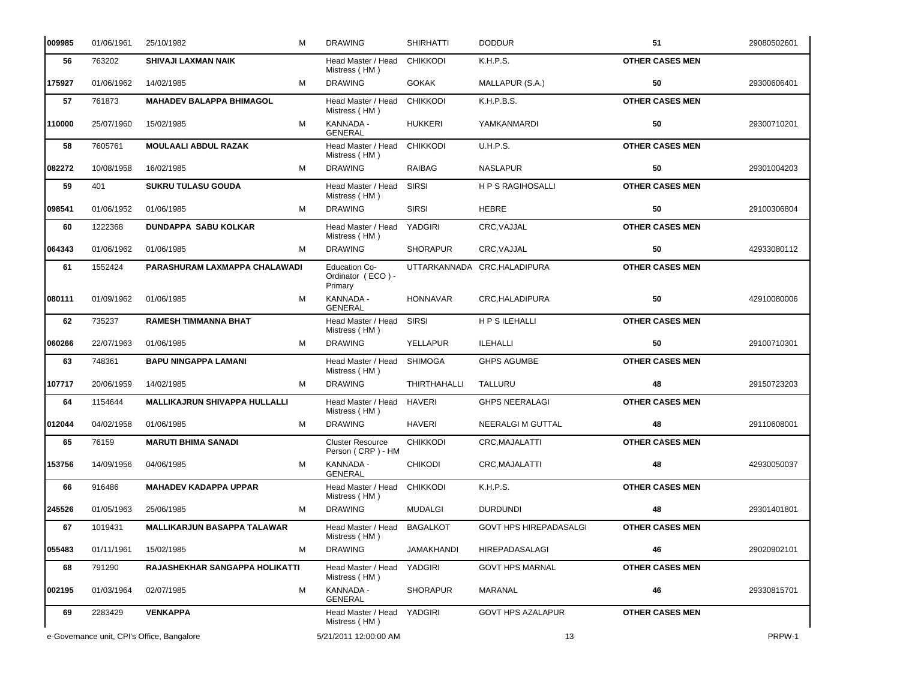| 009985 | 01/06/1961                                 | 25/10/1982                           | M | <b>DRAWING</b>                                       | <b>SHIRHATTI</b>    | <b>DODDUR</b>                 | 51                     | 29080502601 |
|--------|--------------------------------------------|--------------------------------------|---|------------------------------------------------------|---------------------|-------------------------------|------------------------|-------------|
| 56     | 763202                                     | <b>SHIVAJI LAXMAN NAIK</b>           |   | Head Master / Head<br>Mistress (HM)                  | <b>CHIKKODI</b>     | K.H.P.S.                      | <b>OTHER CASES MEN</b> |             |
| 175927 | 01/06/1962                                 | 14/02/1985                           | м | <b>DRAWING</b>                                       | <b>GOKAK</b>        | MALLAPUR (S.A.)               | 50                     | 29300606401 |
| 57     | 761873                                     | <b>MAHADEV BALAPPA BHIMAGOL</b>      |   | Head Master / Head<br>Mistress (HM)                  | <b>CHIKKODI</b>     | K.H.P.B.S.                    | <b>OTHER CASES MEN</b> |             |
| 110000 | 25/07/1960                                 | 15/02/1985                           | M | KANNADA -<br><b>GENERAL</b>                          | <b>HUKKERI</b>      | YAMKANMARDI                   | 50                     | 29300710201 |
| 58     | 7605761                                    | <b>MOULAALI ABDUL RAZAK</b>          |   | Head Master / Head<br>Mistress (HM)                  | <b>CHIKKODI</b>     | U.H.P.S.                      | <b>OTHER CASES MEN</b> |             |
| 082272 | 10/08/1958                                 | 16/02/1985                           | M | <b>DRAWING</b>                                       | <b>RAIBAG</b>       | <b>NASLAPUR</b>               | 50                     | 29301004203 |
| 59     | 401                                        | <b>SUKRU TULASU GOUDA</b>            |   | Head Master / Head<br>Mistress (HM)                  | <b>SIRSI</b>        | <b>HPS RAGIHOSALLI</b>        | <b>OTHER CASES MEN</b> |             |
| 098541 | 01/06/1952                                 | 01/06/1985                           | M | <b>DRAWING</b>                                       | <b>SIRSI</b>        | <b>HEBRE</b>                  | 50                     | 29100306804 |
| 60     | 1222368                                    | <b>DUNDAPPA SABU KOLKAR</b>          |   | Head Master / Head<br>Mistress (HM)                  | YADGIRI             | CRC, VAJJAL                   | <b>OTHER CASES MEN</b> |             |
| 064343 | 01/06/1962                                 | 01/06/1985                           | M | <b>DRAWING</b>                                       | <b>SHORAPUR</b>     | CRC, VAJJAL                   | 50                     | 42933080112 |
| 61     | 1552424                                    | PARASHURAM LAXMAPPA CHALAWADI        |   | <b>Education Co-</b><br>Ordinator (ECO) -<br>Primary | <b>UTTARKANNADA</b> | CRC, HALADIPURA               | <b>OTHER CASES MEN</b> |             |
| 080111 | 01/09/1962                                 | 01/06/1985                           | M | KANNADA -<br><b>GENERAL</b>                          | <b>HONNAVAR</b>     | CRC, HALADIPURA               | 50                     | 42910080006 |
| 62     | 735237                                     | <b>RAMESH TIMMANNA BHAT</b>          |   | Head Master / Head<br>Mistress (HM)                  | <b>SIRSI</b>        | <b>HPSILEHALLI</b>            | <b>OTHER CASES MEN</b> |             |
| 060266 | 22/07/1963                                 | 01/06/1985                           | м | <b>DRAWING</b>                                       | <b>YELLAPUR</b>     | ILEHALLI                      | 50                     | 29100710301 |
| 63     | 748361                                     | <b>BAPU NINGAPPA LAMANI</b>          |   | Head Master / Head<br>Mistress (HM)                  | <b>SHIMOGA</b>      | <b>GHPS AGUMBE</b>            | <b>OTHER CASES MEN</b> |             |
| 107717 | 20/06/1959                                 | 14/02/1985                           | M | <b>DRAWING</b>                                       | <b>THIRTHAHALLI</b> | TALLURU                       | 48                     | 29150723203 |
| 64     | 1154644                                    | <b>MALLIKAJRUN SHIVAPPA HULLALLI</b> |   | Head Master / Head<br>Mistress (HM)                  | <b>HAVERI</b>       | <b>GHPS NEERALAGI</b>         | <b>OTHER CASES MEN</b> |             |
| 012044 | 04/02/1958                                 | 01/06/1985                           | M | <b>DRAWING</b>                                       | <b>HAVERI</b>       | NEERALGI M GUTTAL             | 48                     | 29110608001 |
| 65     | 76159                                      | <b>MARUTI BHIMA SANADI</b>           |   | <b>Cluster Resource</b><br>Person (CRP) - HM         | <b>CHIKKODI</b>     | CRC, MAJALATTI                | <b>OTHER CASES MEN</b> |             |
| 153756 | 14/09/1956                                 | 04/06/1985                           | M | KANNADA -<br><b>GENERAL</b>                          | <b>CHIKODI</b>      | CRC, MAJALATTI                | 48                     | 42930050037 |
| 66     | 916486                                     | <b>MAHADEV KADAPPA UPPAR</b>         |   | Head Master / Head CHIKKODI<br>Mistress (HM)         |                     | K.H.P.S.                      | <b>OTHER CASES MEN</b> |             |
| 245526 | 01/05/1963                                 | 25/06/1985                           | M | <b>DRAWING</b>                                       | <b>MUDALGI</b>      | <b>DURDUNDI</b>               | 48                     | 29301401801 |
| 67     | 1019431                                    | <b>MALLIKARJUN BASAPPA TALAWAR</b>   |   | Head Master / Head<br>Mistress (HM)                  | <b>BAGALKOT</b>     | <b>GOVT HPS HIREPADASALGI</b> | <b>OTHER CASES MEN</b> |             |
| 055483 | 01/11/1961                                 | 15/02/1985                           | M | <b>DRAWING</b>                                       | <b>JAMAKHANDI</b>   | HIREPADASALAGI                | 46                     | 29020902101 |
| 68     | 791290                                     | RAJASHEKHAR SANGAPPA HOLIKATTI       |   | Head Master / Head<br>Mistress (HM)                  | YADGIRI             | <b>GOVT HPS MARNAL</b>        | <b>OTHER CASES MEN</b> |             |
| 002195 | 01/03/1964                                 | 02/07/1985                           | M | KANNADA -<br>GENERAL                                 | <b>SHORAPUR</b>     | MARANAL                       | 46                     | 29330815701 |
| 69     | 2283429                                    | <b>VENKAPPA</b>                      |   | Head Master / Head YADGIRI<br>Mistress (HM)          |                     | <b>GOVT HPS AZALAPUR</b>      | <b>OTHER CASES MEN</b> |             |
|        | e-Governance unit, CPI's Office, Bangalore |                                      |   | 5/21/2011 12:00:00 AM                                |                     | 13                            |                        | PRPW-1      |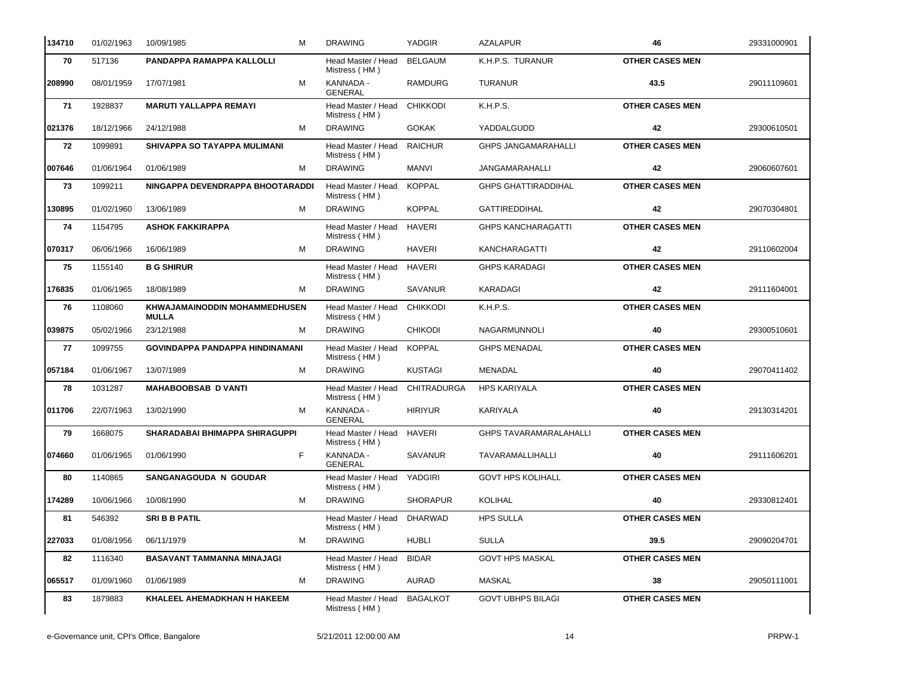| 134710  | 01/02/1963 | 10/09/1985<br>м                                      | <b>DRAWING</b>                              | YADGIR          | <b>AZALAPUR</b>               | 46                     | 29331000901 |
|---------|------------|------------------------------------------------------|---------------------------------------------|-----------------|-------------------------------|------------------------|-------------|
| 70      | 517136     | PANDAPPA RAMAPPA KALLOLLI                            | Head Master / Head<br>Mistress (HM)         | <b>BELGAUM</b>  | K.H.P.S. TURANUR              | <b>OTHER CASES MEN</b> |             |
| 208990  | 08/01/1959 | M<br>17/07/1981                                      | KANNADA -<br><b>GENERAL</b>                 | <b>RAMDURG</b>  | <b>TURANUR</b>                | 43.5                   | 29011109601 |
| 71      | 1928837    | <b>MARUTI YALLAPPA REMAYI</b>                        | Head Master / Head<br>Mistress (HM)         | <b>CHIKKODI</b> | K.H.P.S.                      | <b>OTHER CASES MEN</b> |             |
| 021376  | 18/12/1966 | 24/12/1988<br>м                                      | <b>DRAWING</b>                              | <b>GOKAK</b>    | YADDALGUDD                    | 42                     | 29300610501 |
| 72      | 1099891    | <b>SHIVAPPA SO TAYAPPA MULIMANI</b>                  | Head Master / Head<br>Mistress (HM)         | <b>RAICHUR</b>  | <b>GHPS JANGAMARAHALLI</b>    | <b>OTHER CASES MEN</b> |             |
| 007646  | 01/06/1964 | 01/06/1989<br>м                                      | <b>DRAWING</b>                              | MANVI           | <b>JANGAMARAHALLI</b>         | 42                     | 29060607601 |
| 73      | 1099211    | NINGAPPA DEVENDRAPPA BHOOTARADDI                     | Head Master / Head<br>Mistress (HM)         | <b>KOPPAL</b>   | <b>GHPS GHATTIRADDIHAL</b>    | <b>OTHER CASES MEN</b> |             |
| 130895  | 01/02/1960 | 13/06/1989<br>м                                      | <b>DRAWING</b>                              | <b>KOPPAL</b>   | <b>GATTIREDDIHAL</b>          | 42                     | 29070304801 |
| 74      | 1154795    | <b>ASHOK FAKKIRAPPA</b>                              | Head Master / Head<br>Mistress (HM)         | <b>HAVERI</b>   | <b>GHPS KANCHARAGATTI</b>     | <b>OTHER CASES MEN</b> |             |
| 1070317 | 06/06/1966 | M<br>16/06/1989                                      | <b>DRAWING</b>                              | <b>HAVERI</b>   | <b>KANCHARAGATTI</b>          | 42                     | 29110602004 |
| 75      | 1155140    | <b>B G SHIRUR</b>                                    | Head Master / Head<br>Mistress (HM)         | <b>HAVERI</b>   | <b>GHPS KARADAGI</b>          | <b>OTHER CASES MEN</b> |             |
| 176835  | 01/06/1965 | 18/08/1989<br>M                                      | <b>DRAWING</b>                              | <b>SAVANUR</b>  | KARADAGI                      | 42                     | 29111604001 |
| 76      | 1108060    | <b>KHWAJAMAINODDIN MOHAMMEDHUSEN</b><br><b>MULLA</b> | Head Master / Head<br>Mistress (HM)         | <b>CHIKKODI</b> | K.H.P.S.                      | <b>OTHER CASES MEN</b> |             |
| 039875  | 05/02/1966 | M<br>23/12/1988                                      | <b>DRAWING</b>                              | <b>CHIKODI</b>  | NAGARMUNNOLI                  | 40                     | 29300510601 |
| 77      | 1099755    | GOVINDAPPA PANDAPPA HINDINAMANI                      | Head Master / Head<br>Mistress (HM)         | <b>KOPPAL</b>   | <b>GHPS MENADAL</b>           | <b>OTHER CASES MEN</b> |             |
| 057184  | 01/06/1967 | 13/07/1989<br>м                                      | <b>DRAWING</b>                              | <b>KUSTAGI</b>  | MENADAL                       | 40                     | 29070411402 |
| 78      | 1031287    | <b>MAHABOOBSAB D VANTI</b>                           | Head Master / Head<br>Mistress (HM)         | CHITRADURGA     | <b>HPS KARIYALA</b>           | <b>OTHER CASES MEN</b> |             |
| 011706  | 22/07/1963 | M<br>13/02/1990                                      | KANNADA -<br><b>GENERAL</b>                 | <b>HIRIYUR</b>  | KARIYALA                      | 40                     | 29130314201 |
| 79      | 1668075    | <b>SHARADABAI BHIMAPPA SHIRAGUPPI</b>                | Head Master / Head<br>Mistress (HM)         | <b>HAVERI</b>   | <b>GHPS TAVARAMARALAHALLI</b> | <b>OTHER CASES MEN</b> |             |
| 074660  | 01/06/1965 | F<br>01/06/1990                                      | KANNADA -<br><b>GENERAL</b>                 | <b>SAVANUR</b>  | TAVARAMALLIHALLI              | 40                     | 29111606201 |
| 80      | 1140865    | <b>SANGANAGOUDA N GOUDAR</b>                         | Head Master / Head YADGIRI<br>Mistress (HM) |                 | <b>GOVT HPS KOLIHALL</b>      | <b>OTHER CASES MEN</b> |             |
| 174289  | 10/06/1966 | M<br>10/08/1990                                      | <b>DRAWING</b>                              | <b>SHORAPUR</b> | KOLIHAL                       | 40                     | 29330812401 |
| 81      | 546392     | <b>SRI B B PATIL</b>                                 | Head Master / Head<br>Mistress (HM)         | <b>DHARWAD</b>  | <b>HPS SULLA</b>              | <b>OTHER CASES MEN</b> |             |
| 227033  | 01/08/1956 | 06/11/1979<br>M                                      | <b>DRAWING</b>                              | <b>HUBLI</b>    | <b>SULLA</b>                  | 39.5                   | 29090204701 |
| 82      | 1116340    | BASAVANT TAMMANNA MINAJAGI                           | Head Master / Head<br>Mistress (HM)         | <b>BIDAR</b>    | <b>GOVT HPS MASKAL</b>        | <b>OTHER CASES MEN</b> |             |
| 065517  | 01/09/1960 | 01/06/1989<br>M                                      | <b>DRAWING</b>                              | AURAD           | MASKAL                        | 38                     | 29050111001 |
| 83      | 1879883    | KHALEEL AHEMADKHAN H HAKEEM                          | Head Master / Head<br>Mistress (HM)         | <b>BAGALKOT</b> | <b>GOVT UBHPS BILAGI</b>      | <b>OTHER CASES MEN</b> |             |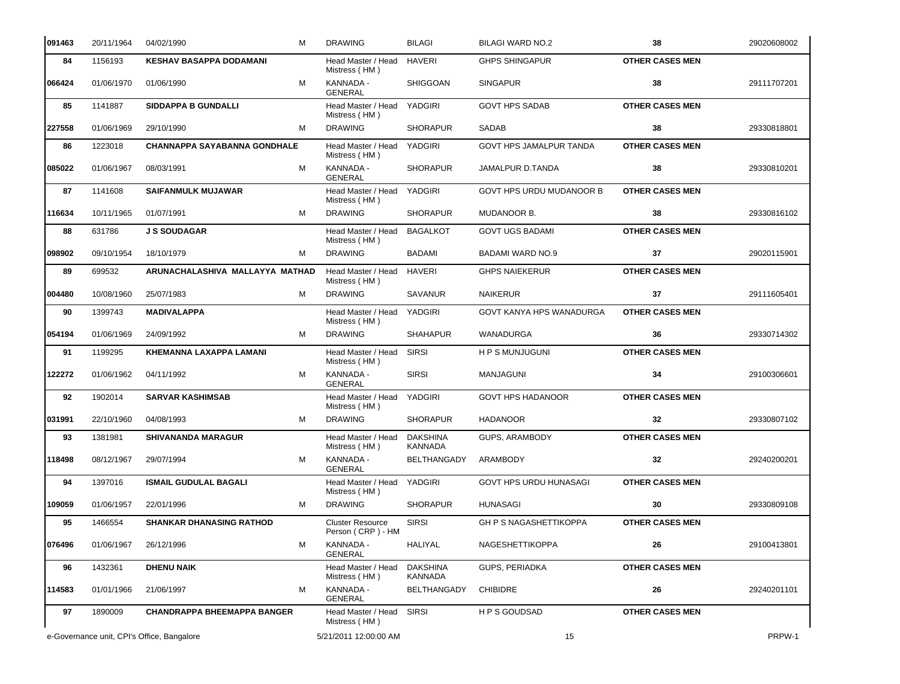| 091463 | 20/11/1964                                 | 04/02/1990                          | м | <b>DRAWING</b>                               | <b>BILAGI</b>                     | <b>BILAGI WARD NO.2</b>       | 38                     | 29020608002 |
|--------|--------------------------------------------|-------------------------------------|---|----------------------------------------------|-----------------------------------|-------------------------------|------------------------|-------------|
| 84     | 1156193                                    | <b>KESHAV BASAPPA DODAMANI</b>      |   | Head Master / Head<br>Mistress (HM)          | <b>HAVERI</b>                     | <b>GHPS SHINGAPUR</b>         | <b>OTHER CASES MEN</b> |             |
| 066424 | 01/06/1970                                 | 01/06/1990                          | м | KANNADA -<br><b>GENERAL</b>                  | <b>SHIGGOAN</b>                   | <b>SINGAPUR</b>               | 38                     | 29111707201 |
| 85     | 1141887                                    | <b>SIDDAPPA B GUNDALLI</b>          |   | Head Master / Head<br>Mistress (HM)          | YADGIRI                           | <b>GOVT HPS SADAB</b>         | <b>OTHER CASES MEN</b> |             |
| 227558 | 01/06/1969                                 | 29/10/1990                          | м | <b>DRAWING</b>                               | <b>SHORAPUR</b>                   | SADAB                         | 38                     | 29330818801 |
| 86     | 1223018                                    | <b>CHANNAPPA SAYABANNA GONDHALE</b> |   | Head Master / Head<br>Mistress (HM)          | <b>YADGIRI</b>                    | GOVT HPS JAMALPUR TANDA       | <b>OTHER CASES MEN</b> |             |
| 085022 | 01/06/1967                                 | 08/03/1991                          | м | KANNADA -<br><b>GENERAL</b>                  | <b>SHORAPUR</b>                   | JAMALPUR D.TANDA              | 38                     | 29330810201 |
| 87     | 1141608                                    | <b>SAIFANMULK MUJAWAR</b>           |   | Head Master / Head<br>Mistress (HM)          | YADGIRI                           | GOVT HPS URDU MUDANOOR B      | <b>OTHER CASES MEN</b> |             |
| 116634 | 10/11/1965                                 | 01/07/1991                          | м | <b>DRAWING</b>                               | <b>SHORAPUR</b>                   | MUDANOOR B.                   | 38                     | 29330816102 |
| 88     | 631786                                     | <b>J S SOUDAGAR</b>                 |   | Head Master / Head<br>Mistress (HM)          | <b>BAGALKOT</b>                   | <b>GOVT UGS BADAMI</b>        | <b>OTHER CASES MEN</b> |             |
| 098902 | 09/10/1954                                 | 18/10/1979                          | м | <b>DRAWING</b>                               | <b>BADAMI</b>                     | BADAMI WARD NO.9              | 37                     | 29020115901 |
| 89     | 699532                                     | ARUNACHALASHIVA MALLAYYA MATHAD     |   | Head Master / Head<br>Mistress (HM)          | <b>HAVERI</b>                     | <b>GHPS NAIEKERUR</b>         | <b>OTHER CASES MEN</b> |             |
| 004480 | 10/08/1960                                 | 25/07/1983                          | м | <b>DRAWING</b>                               | <b>SAVANUR</b>                    | <b>NAIKERUR</b>               | 37                     | 29111605401 |
| 90     | 1399743                                    | <b>MADIVALAPPA</b>                  |   | Head Master / Head<br>Mistress (HM)          | YADGIRI                           | GOVT KANYA HPS WANADURGA      | <b>OTHER CASES MEN</b> |             |
| 054194 | 01/06/1969                                 | 24/09/1992                          | м | <b>DRAWING</b>                               | <b>SHAHAPUR</b>                   | WANADURGA                     | 36                     | 29330714302 |
| 91     | 1199295                                    | <b>KHEMANNA LAXAPPA LAMANI</b>      |   | Head Master / Head<br>Mistress (HM)          | <b>SIRSI</b>                      | <b>HPS MUNJUGUNI</b>          | <b>OTHER CASES MEN</b> |             |
| 122272 | 01/06/1962                                 | 04/11/1992                          | м | KANNADA -<br><b>GENERAL</b>                  | <b>SIRSI</b>                      | <b>MANJAGUNI</b>              | 34                     | 29100306601 |
| 92     | 1902014                                    | <b>SARVAR KASHIMSAB</b>             |   | Head Master / Head<br>Mistress (HM)          | <b>YADGIRI</b>                    | <b>GOVT HPS HADANOOR</b>      | <b>OTHER CASES MEN</b> |             |
| 031991 | 22/10/1960                                 | 04/08/1993                          | м | <b>DRAWING</b>                               | <b>SHORAPUR</b>                   | <b>HADANOOR</b>               | 32                     | 29330807102 |
| 93     | 1381981                                    | <b>SHIVANANDA MARAGUR</b>           |   | Head Master / Head<br>Mistress (HM)          | <b>DAKSHINA</b><br><b>KANNADA</b> | GUPS, ARAMBODY                | <b>OTHER CASES MEN</b> |             |
| 118498 | 08/12/1967                                 | 29/07/1994                          | м | KANNADA -<br><b>GENERAL</b>                  | <b>BELTHANGADY</b>                | ARAMBODY                      | 32                     | 29240200201 |
| 94     | 1397016                                    | <b>ISMAIL GUDULAL BAGALI</b>        |   | Head Master / Head YADGIRI<br>Mistress (HM)  |                                   | GOVT HPS URDU HUNASAGI        | <b>OTHER CASES MEN</b> |             |
| 109059 | 01/06/1957                                 | 22/01/1996                          | м | <b>DRAWING</b>                               | <b>SHORAPUR</b>                   | <b>HUNASAGI</b>               | 30                     | 29330809108 |
| 95     | 1466554                                    | <b>SHANKAR DHANASING RATHOD</b>     |   | <b>Cluster Resource</b><br>Person (CRP) - HM | <b>SIRSI</b>                      | <b>GH P S NAGASHETTIKOPPA</b> | <b>OTHER CASES MEN</b> |             |
| 076496 | 01/06/1967                                 | 26/12/1996                          | м | KANNADA -<br><b>GENERAL</b>                  | HALIYAL                           | NAGESHETTIKOPPA               | 26                     | 29100413801 |
| 96     | 1432361                                    | <b>DHENU NAIK</b>                   |   | Head Master / Head<br>Mistress (HM)          | <b>DAKSHINA</b><br><b>KANNADA</b> | <b>GUPS, PERIADKA</b>         | <b>OTHER CASES MEN</b> |             |
| 114583 | 01/01/1966                                 | 21/06/1997                          | м | KANNADA -<br><b>GENERAL</b>                  | <b>BELTHANGADY</b>                | <b>CHIBIDRE</b>               | 26                     | 29240201101 |
| 97     | 1890009                                    | <b>CHANDRAPPA BHEEMAPPA BANGER</b>  |   | Head Master / Head<br>Mistress (HM)          | <b>SIRSI</b>                      | H P S GOUDSAD                 | <b>OTHER CASES MEN</b> |             |
|        | e-Governance unit, CPI's Office, Bangalore |                                     |   | 5/21/2011 12:00:00 AM                        |                                   | 15                            |                        | PRPW-1      |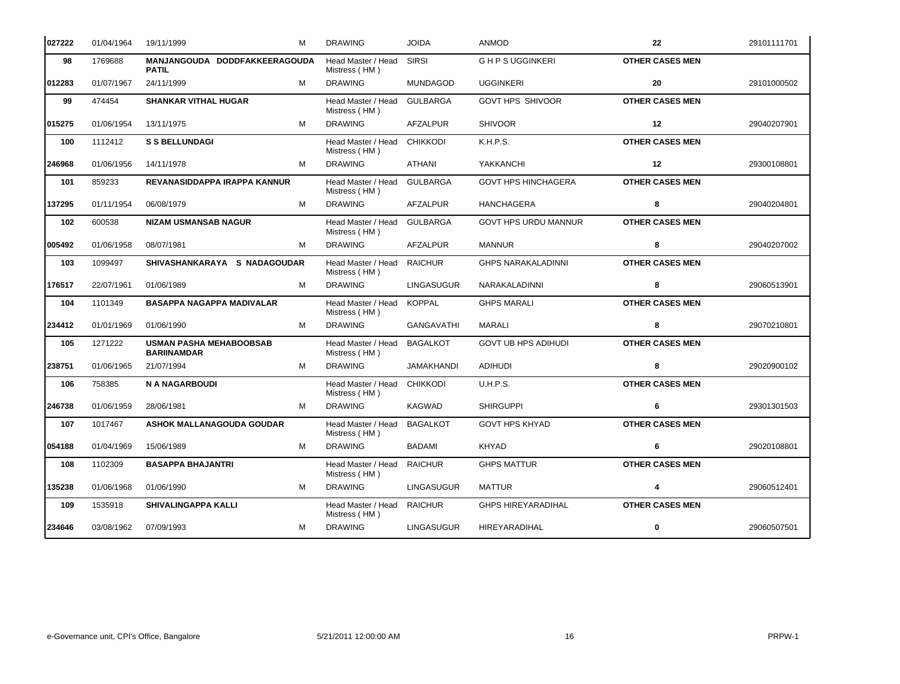| 027222 | 01/04/1964 | 19/11/1999<br>м                                      | <b>DRAWING</b>                      | <b>JOIDA</b>      | <b>ANMOD</b>                | 22                     | 29101111701 |
|--------|------------|------------------------------------------------------|-------------------------------------|-------------------|-----------------------------|------------------------|-------------|
| 98     | 1769688    | MANJANGOUDA DODDFAKKEERAGOUDA<br><b>PATIL</b>        | Head Master / Head<br>Mistress (HM) | <b>SIRSI</b>      | <b>GHPSUGGINKERI</b>        | <b>OTHER CASES MEN</b> |             |
| 012283 | 01/07/1967 | 24/11/1999<br>м                                      | <b>DRAWING</b>                      | <b>MUNDAGOD</b>   | <b>UGGINKERI</b>            | 20                     | 29101000502 |
| 99     | 474454     | <b>SHANKAR VITHAL HUGAR</b>                          | Head Master / Head<br>Mistress (HM) | <b>GULBARGA</b>   | <b>GOVT HPS SHIVOOR</b>     | <b>OTHER CASES MEN</b> |             |
| 015275 | 01/06/1954 | 13/11/1975<br>M                                      | <b>DRAWING</b>                      | <b>AFZALPUR</b>   | <b>SHIVOOR</b>              | $12 \,$                | 29040207901 |
| 100    | 1112412    | <b>S S BELLUNDAGI</b>                                | Head Master / Head<br>Mistress (HM) | <b>CHIKKODI</b>   | K.H.P.S.                    | <b>OTHER CASES MEN</b> |             |
| 246968 | 01/06/1956 | 14/11/1978<br>м                                      | <b>DRAWING</b>                      | ATHANI            | YAKKANCHI                   | 12                     | 29300108801 |
| 101    | 859233     | REVANASIDDAPPA IRAPPA KANNUR                         | Head Master / Head<br>Mistress (HM) | <b>GULBARGA</b>   | <b>GOVT HPS HINCHAGERA</b>  | <b>OTHER CASES MEN</b> |             |
| 137295 | 01/11/1954 | 06/08/1979<br>м                                      | <b>DRAWING</b>                      | AFZALPUR          | <b>HANCHAGERA</b>           | 8                      | 29040204801 |
| 102    | 600538     | <b>NIZAM USMANSAB NAGUR</b>                          | Head Master / Head<br>Mistress (HM) | <b>GULBARGA</b>   | <b>GOVT HPS URDU MANNUR</b> | <b>OTHER CASES MEN</b> |             |
| 005492 | 01/06/1958 | 08/07/1981<br>м                                      | <b>DRAWING</b>                      | AFZALPUR          | <b>MANNUR</b>               | 8                      | 29040207002 |
| 103    | 1099497    | SHIVASHANKARAYA S NADAGOUDAR                         | Head Master / Head<br>Mistress (HM) | <b>RAICHUR</b>    | <b>GHPS NARAKALADINNI</b>   | <b>OTHER CASES MEN</b> |             |
| 176517 | 22/07/1961 | 01/06/1989<br>м                                      | <b>DRAWING</b>                      | <b>LINGASUGUR</b> | NARAKALADINNI               | 8                      | 29060513901 |
| 104    | 1101349    | <b>BASAPPA NAGAPPA MADIVALAR</b>                     | Head Master / Head<br>Mistress (HM) | <b>KOPPAL</b>     | <b>GHPS MARALI</b>          | <b>OTHER CASES MEN</b> |             |
| 234412 | 01/01/1969 | 01/06/1990<br>м                                      | <b>DRAWING</b>                      | <b>GANGAVATHI</b> | MARALI                      | 8                      | 29070210801 |
| 105    | 1271222    | <b>USMAN PASHA MEHABOOBSAB</b><br><b>BARIINAMDAR</b> | Head Master / Head<br>Mistress (HM) | <b>BAGALKOT</b>   | <b>GOVT UB HPS ADIHUDI</b>  | <b>OTHER CASES MEN</b> |             |
| 238751 | 01/06/1965 | 21/07/1994<br>м                                      | <b>DRAWING</b>                      | <b>JAMAKHANDI</b> | <b>ADIHUDI</b>              | 8                      | 29020900102 |
| 106    | 758385     | <b>N A NAGARBOUDI</b>                                | Head Master / Head<br>Mistress (HM) | <b>CHIKKODI</b>   | U.H.P.S.                    | <b>OTHER CASES MEN</b> |             |
| 246738 | 01/06/1959 | 28/06/1981<br>м                                      | <b>DRAWING</b>                      | KAGWAD            | <b>SHIRGUPPI</b>            | 6                      | 29301301503 |
| 107    | 1017467    | <b>ASHOK MALLANAGOUDA GOUDAR</b>                     | Head Master / Head<br>Mistress (HM) | <b>BAGALKOT</b>   | <b>GOVT HPS KHYAD</b>       | <b>OTHER CASES MEN</b> |             |
| 054188 | 01/04/1969 | 15/06/1989<br>м                                      | <b>DRAWING</b>                      | <b>BADAMI</b>     | <b>KHYAD</b>                | 6                      | 29020108801 |
| 108    | 1102309    | <b>BASAPPA BHAJANTRI</b>                             | Head Master / Head<br>Mistress (HM) | <b>RAICHUR</b>    | <b>GHPS MATTUR</b>          | <b>OTHER CASES MEN</b> |             |
| 135238 | 01/06/1968 | 01/06/1990<br>м                                      | <b>DRAWING</b>                      | <b>LINGASUGUR</b> | <b>MATTUR</b>               | 4                      | 29060512401 |
| 109    | 1535918    | SHIVALINGAPPA KALLI                                  | Head Master / Head<br>Mistress (HM) | <b>RAICHUR</b>    | <b>GHPS HIREYARADIHAL</b>   | <b>OTHER CASES MEN</b> |             |
| 234646 | 03/08/1962 | 07/09/1993<br>м                                      | <b>DRAWING</b>                      | <b>LINGASUGUR</b> | HIREYARADIHAL               | 0                      | 29060507501 |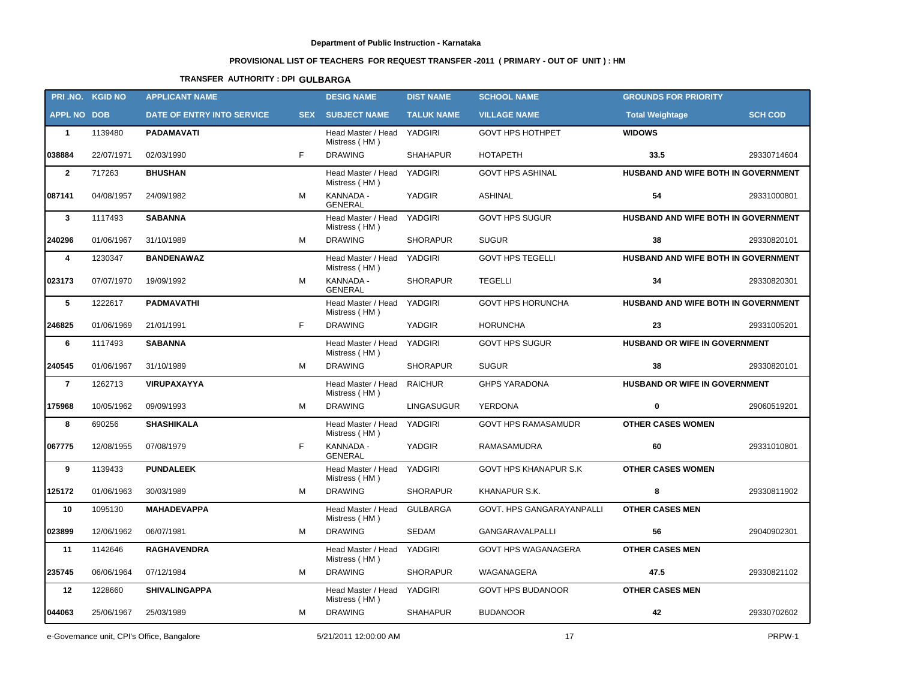# **PROVISIONAL LIST OF TEACHERS FOR REQUEST TRANSFER -2011 ( PRIMARY - OUT OF UNIT ) : HM**

## **TRANSFER AUTHORITY : DPI GULBARGA**

|                    | PRI.NO. KGID NO | <b>APPLICANT NAME</b>             |            | <b>DESIG NAME</b>                           | <b>DIST NAME</b>  | <b>SCHOOL NAME</b>           | <b>GROUNDS FOR PRIORITY</b>                |                |
|--------------------|-----------------|-----------------------------------|------------|---------------------------------------------|-------------------|------------------------------|--------------------------------------------|----------------|
| <b>APPL NO DOB</b> |                 | <b>DATE OF ENTRY INTO SERVICE</b> | <b>SEX</b> | <b>SUBJECT NAME</b>                         | <b>TALUK NAME</b> | <b>VILLAGE NAME</b>          | <b>Total Weightage</b>                     | <b>SCH COD</b> |
| $\mathbf{1}$       | 1139480         | <b>PADAMAVATI</b>                 |            | Head Master / Head YADGIRI<br>Mistress (HM) |                   | <b>GOVT HPS HOTHPET</b>      | <b>WIDOWS</b>                              |                |
| 038884             | 22/07/1971      | 02/03/1990                        | F.         | <b>DRAWING</b>                              | <b>SHAHAPUR</b>   | <b>HOTAPETH</b>              | 33.5                                       | 29330714604    |
| $\overline{2}$     | 717263          | <b>BHUSHAN</b>                    |            | Head Master / Head<br>Mistress (HM)         | YADGIRI           | <b>GOVT HPS ASHINAL</b>      | HUSBAND AND WIFE BOTH IN GOVERNMENT        |                |
| 087141             | 04/08/1957      | 24/09/1982                        | M          | KANNADA -<br><b>GENERAL</b>                 | YADGIR            | <b>ASHINAL</b>               | 54                                         | 29331000801    |
| $\mathbf{3}$       | 1117493         | <b>SABANNA</b>                    |            | Head Master / Head YADGIRI<br>Mistress (HM) |                   | <b>GOVT HPS SUGUR</b>        | <b>HUSBAND AND WIFE BOTH IN GOVERNMENT</b> |                |
| 240296             | 01/06/1967      | 31/10/1989                        | м          | <b>DRAWING</b>                              | <b>SHORAPUR</b>   | <b>SUGUR</b>                 | 38                                         | 29330820101    |
| 4                  | 1230347         | <b>BANDENAWAZ</b>                 |            | Head Master / Head<br>Mistress (HM)         | <b>YADGIRI</b>    | <b>GOVT HPS TEGELLI</b>      | HUSBAND AND WIFE BOTH IN GOVERNMENT        |                |
| 023173             | 07/07/1970      | 19/09/1992                        | м          | KANNADA -<br><b>GENERAL</b>                 | <b>SHORAPUR</b>   | <b>TEGELLI</b>               | 34                                         | 29330820301    |
| 5                  | 1222617         | <b>PADMAVATHI</b>                 |            | Head Master / Head YADGIRI<br>Mistress (HM) |                   | <b>GOVT HPS HORUNCHA</b>     | HUSBAND AND WIFE BOTH IN GOVERNMENT        |                |
| 246825             | 01/06/1969      | 21/01/1991                        | F          | <b>DRAWING</b>                              | YADGIR            | <b>HORUNCHA</b>              | 23                                         | 29331005201    |
| 6                  | 1117493         | <b>SABANNA</b>                    |            | Head Master / Head<br>Mistress (HM)         | YADGIRI           | <b>GOVT HPS SUGUR</b>        | HUSBAND OR WIFE IN GOVERNMENT              |                |
| 240545             | 01/06/1967      | 31/10/1989                        | м          | <b>DRAWING</b>                              | <b>SHORAPUR</b>   | <b>SUGUR</b>                 | 38                                         | 29330820101    |
| $\overline{7}$     | 1262713         | <b>VIRUPAXAYYA</b>                |            | Head Master / Head<br>Mistress (HM)         | <b>RAICHUR</b>    | <b>GHPS YARADONA</b>         | HUSBAND OR WIFE IN GOVERNMENT              |                |
| 175968             | 10/05/1962      | 09/09/1993                        | M          | <b>DRAWING</b>                              | LINGASUGUR        | <b>YERDONA</b>               | 0                                          | 29060519201    |
| 8                  | 690256          | <b>SHASHIKALA</b>                 |            | Head Master / Head<br>Mistress (HM)         | YADGIRI           | <b>GOVT HPS RAMASAMUDR</b>   | <b>OTHER CASES WOMEN</b>                   |                |
| 067775             | 12/08/1955      | 07/08/1979                        | F.         | KANNADA -<br><b>GENERAL</b>                 | YADGIR            | RAMASAMUDRA                  | 60                                         | 29331010801    |
| 9                  | 1139433         | <b>PUNDALEEK</b>                  |            | Head Master / Head<br>Mistress (HM)         | YADGIRI           | <b>GOVT HPS KHANAPUR S.K</b> | <b>OTHER CASES WOMEN</b>                   |                |
| 125172             | 01/06/1963      | 30/03/1989                        | м          | <b>DRAWING</b>                              | <b>SHORAPUR</b>   | KHANAPUR S.K.                | 8                                          | 29330811902    |
| 10                 | 1095130         | <b>MAHADEVAPPA</b>                |            | Head Master / Head<br>Mistress (HM)         | <b>GULBARGA</b>   | GOVT. HPS GANGARAYANPALLI    | <b>OTHER CASES MEN</b>                     |                |
| 023899             | 12/06/1962      | 06/07/1981                        | м          | <b>DRAWING</b>                              | <b>SEDAM</b>      | <b>GANGARAVALPALLI</b>       | 56                                         | 29040902301    |
| 11                 | 1142646         | <b>RAGHAVENDRA</b>                |            | Head Master / Head YADGIRI<br>Mistress (HM) |                   | <b>GOVT HPS WAGANAGERA</b>   | <b>OTHER CASES MEN</b>                     |                |
| 235745             | 06/06/1964      | 07/12/1984                        | м          | <b>DRAWING</b>                              | <b>SHORAPUR</b>   | WAGANAGERA                   | 47.5                                       | 29330821102    |
| 12                 | 1228660         | <b>SHIVALINGAPPA</b>              |            | Head Master / Head YADGIRI<br>Mistress (HM) |                   | <b>GOVT HPS BUDANOOR</b>     | <b>OTHER CASES MEN</b>                     |                |
| 044063             | 25/06/1967      | 25/03/1989                        | м          | <b>DRAWING</b>                              | <b>SHAHAPUR</b>   | <b>BUDANOOR</b>              | 42                                         | 29330702602    |